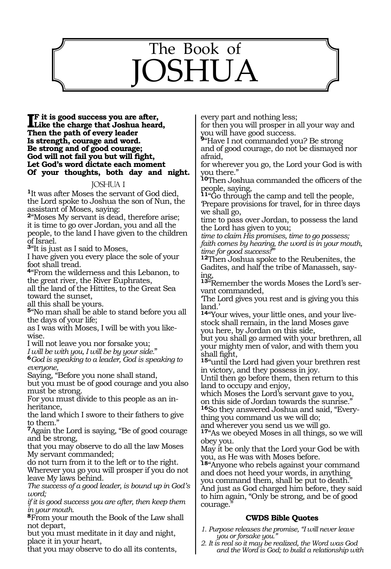

#### **IF** it is good success you are after,<br>Like the charge that Joshua heard **Like the charge that Joshua heard, Then the path of every leader Is strength, courage and word. Be strong and of good courage; God will not fail you but will fight, Let God's word dictate each moment Of your thoughts, both day and night.**

### JOSHUA 1

**<sup>1</sup>**It was after Moses the servant of God died, the Lord spoke to Joshua the son of Nun, the assistant of Moses, saying:

**<sup>2</sup>**"Moses My servant is dead, therefore arise; it is time to go over Jordan, you and all the people, to the land I have given to the children of Israel.

**<sup>3</sup>**"It is just as I said to Moses,

I have given you every place the sole of your foot shall tread.

**<sup>4</sup>**"From the wilderness and this Lebanon, to the great river, the River Euphrates, all the land of the Hittites, to the Great Sea

toward the sunset,

all this shall be yours.

**<sup>5</sup>**"No man shall be able to stand before you all the days of your life;

as I was with Moses, I will be with you likewise.

I will not leave you nor forsake you;<br>I will be with you, I will be by your side."

*I will be with you, I will be by your side.*" **<sup>6</sup>***God is speaking to a leader, God is speaking to everyone,*

Saying, "Before you none shall stand,

but you must be of good courage and you also must be strong.

For you must divide to this people as an inheritance,

the land which I swore to their fathers to give to them."

**<sup>7</sup>**Again the Lord is saying, "Be of good courage and be strong,

that you may observe to do all the law Moses My servant commanded;

do not turn from it to the left or to the right. Wherever you go you will prosper if you do not leave My laws behind.

*The success of a good leader, is bound up in God's word;* 

*if it is good success you are after, then keep them in your mouth.* 

**<sup>8</sup>**From your mouth the Book of the Law shall not depart,

but you must meditate in it day and night, place it in your heart,

that you may observe to do all its contents,

every part and nothing less;

for then you will prosper in all your way and you will have good success.

**<sup>9</sup>**"Have I not commanded you? Be strong and of good courage, do not be dismayed nor afraid,

for wherever you go, the Lord your God is with you there."

**<sup>10</sup>**Then Joshua commanded the officers of the people, saying,

**<sup>11</sup>**"Go through the camp and tell the people, 'Prepare provisions for travel, for in three days we shall go,

time to pass over Jordan, to possess the land the Lord has given to you;

*time to claim His promises, time to go possess; faith comes by hearing, the word is in your mouth,* 

*time for good success!*'" **<sup>12</sup>**Then Joshua spoke to the Reubenites, the Gadites, and half the tribe of Manasseh, say- ing,

**<sup>13</sup>**"Remember the words Moses the Lord's ser- vant commanded,

'The Lord gives you rest and is giving you this land.'

**14**"Your wives, your little ones, and your livestock shall remain, in the land Moses gave you here, by Jordan on this side,

but you shall go armed with your brethren, all your mighty men of valor, and with them you shall fight,

**<sup>15</sup>**"until the Lord had given your brethren rest in victory, and they possess in joy.

Until then go before them, then return to this land to occupy and enjoy,

which Moses the Lord's servant gave to you, on this side of Jordan towards the sunrise."

**16**So they answered Joshua and said, "Everything you command us we will do;

and wherever you send us we will go.

**<sup>17</sup>**"As we obeyed Moses in all things, so we will obey you.

May it be only that the Lord your God be with you, as He was with Moses before.

**<sup>18</sup>**"Anyone who rebels against your command and does not heed your words, in anything you command them, shall be put to death." And just as God charged him before, they said to him again, "Only be strong, and be of good courage.

### **CWDS Bible Quotes**

- *1. Purpose releases the promise, "I will never leave you or forsake you."*
- *2. It is real so it may be realized, the Word was God and the Word is God; to build a relationship with*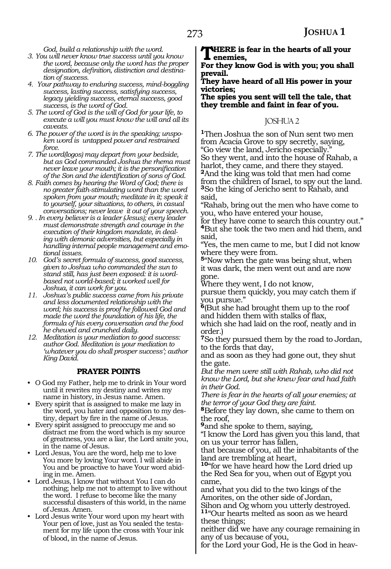*God, build a relationship with the word.*

- *3. You will never know true success until you know the word, because only the word has the proper designation, definition, distinction and destination of success.*
- *4. Your pathway to enduring success, mind-boggling success, lasting success, satisfying success, legacy yielding success, eternal success, good success, is the word of God.*
- *5. The word of God is the will of God for your life, to execute a will you must know the will and all its caveats.*
- *6. The power of the word is in the speaking; unspoken word is untapped power and restrained force.*
- *7. The word(logos) may depart from your bedside, but as God commanded Joshua the rhema must never leave your mouth; it is the personification of the Son and the identification of sons of God.*
- *8. Faith comes by hearing the Word of God; there is no greater faith-stimulating word than the word spoken from your mouth; meditate in it; speak it to yourself, your situations, to others, in casual conversations; never leave it out of your speech.*
- *9. . In every believer is a leader (Jesus); every leader must demonstrate strength and courage in the execution of their kingdom mandate, in dealing with demonic adversities, but especially in handling internal people management and emotional issues.*
- *10. God's secret formula of success, good success, given to Joshua who commanded the sun to stand still, has just been exposed: it is wordbased not world-based; it worked well for Joshua, it can work for you.*
- *11. Joshua's public success came from his private and less documented relationship with the word; his success is proof he followed God and made the word the foundation of his life, the formula of his every conversation and the food he chewed and crunched daily.*
- *12. Meditation is your mediation to good success: author God. Meditation is your mediation to 'whatever you do shall prosper success'; author King David.*

### **PRAYER POINTS**

- O God my Father, help me to drink in Your word until it rewrites my destiny and writes my name in history, in Jesus name. Amen.
- Every spirit that is assigned to make me lazy in the word, you hater and opposition to my destiny, depart by fire in the name of Jesus.
- Every spirit assigned to preoccupy me and so distract me from the word which is my source of greatness, you are a liar, the Lord smite you, in the name of Jesus.
- Lord Jesus, You are the word, help me to love You more by loving Your word. I will abide in You and be proactive to have Your word abiding in me. Amen.
- Lord Jesus, I know that without You I can do nothing; help me not to attempt to live without the word. I refuse to become like the many successful disasters of this world, in the name of Jesus. Amen.
- Lord Jesus write Your word upon my heart with Your pen of love, just as You sealed the testament for my life upon the cross with Your ink of blood, in the name of Jesus.

**THERE** is fear in the hearts of all your **enemies,**

**For they know God is with you; you shall prevail.**

**They have heard of all His power in your victories;** 

**The spies you sent will tell the tale, that they tremble and faint in fear of you.** 

### JOSHUA 2

**<sup>1</sup>**Then Joshua the son of Nun sent two men from Acacia Grove to spy secretly, saying, "Go view the land, Jericho especially." So they went, and into the house of Rahab, a harlot, they came, and there they stayed. **<sup>2</sup>**And the king was told that men had come from the children of Israel, to spy out the land. **<sup>3</sup>**So the king of Jericho sent to Rahab, and said,

"Rahab, bring out the men who have come to you, who have entered your house,

for they have come to search this country out." **<sup>4</sup>**But she took the two men and hid them, and said,

"Yes, the men came to me, but I did not know where they were from.

**<sup>5</sup>**"Now when the gate was being shut, when it was dark, the men went out and are now gone.

Where they went, I do not know,

pursue them quickly, you may catch them if you pursue."

**<sup>6</sup>**(But she had brought them up to the roof and hidden them with stalks of flax,

which she had laid on the roof, neatly and in order.)

**<sup>7</sup>**So they pursued them by the road to Jordan, to the fords that day,

and as soon as they had gone out, they shut the gate.

*But the men were still with Rahab, who did not know the Lord, but she knew fear and had faith in their God.*

*There is fear in the hearts of all your enemies; at the terror of your God they are faint.*

**<sup>8</sup>**Before they lay down, she came to them on the roof,

**<sup>9</sup>**and she spoke to them, saying,

"I know the Lord has given you this land, that on us your terror has fallen,

that because of you, all the inhabitants of the land are trembling at heart,

**<sup>10</sup>**"for we have heard how the Lord dried up the Red Sea for you, when out of Egypt you came,

and what you did to the two kings of the Amorites, on the other side of Jordan,

Sihon and Og whom you utterly destroyed. **<sup>11</sup>**"Our hearts melted as soon as we heard these things;

neither did we have any courage remaining in any of us because of you,

for the Lord your God, He is the God in heav-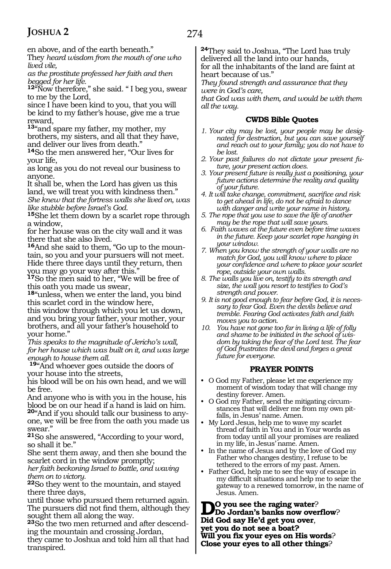274

en above, and of the earth beneath."

They *heard wisdom from the mouth of one who lived vile,* 

*as the prostitute professed her faith and then begged for her life.*

**<sup>12</sup>**"Now therefore," she said. " I beg you, swear to me by the Lord,

since I have been kind to you, that you will be kind to my father's house, give me a true reward,

**<sup>13</sup>**"and spare my father, my mother, my brothers, my sisters, and all that they have, and deliver our lives from death."

**<sup>14</sup>**So the men answered her, "Our lives for your life,

as long as you do not reveal our business to anyone.

It shall be, when the Lord has given us this land, we will treat you with kindness then." *She knew that the fortress walls she lived on, was like stubble before Israel's God.*

**<sup>15</sup>**She let them down by a scarlet rope through a window,

for her house was on the city wall and it was there that she also lived.

**16**And she said to them, "Go up to the mountain, so you and your pursuers will not meet. Hide there three days until they return, then you may go your way after this."

**<sup>17</sup>**So the men said to her, "We will be free of this oath you made us swear,

**<sup>18</sup>**"unless, when we enter the land, you bind this scarlet cord in the window here,

this window through which you let us down, and you bring your father, your mother, your brothers, and all your father's household to your home."

*This speaks to the magnitude of Jericho's wall, for her house which was built on it, and was large enough to house them all.*

**<sup>19</sup>**"And whoever goes outside the doors of your house into the streets,

his blood will be on his own head, and we will be free.

And anyone who is with you in the house, his blood be on our head if a hand is laid on him.

**20**"And if you should talk our business to anyone, we will be free from the oath you made us swear."

**<sup>21</sup>**So she answered, "According to your word, so shall it be."

She sent them away, and then she bound the scarlet cord in the window promptly;

*her faith beckoning Israel to battle, and waving them on to victory.*

**<sup>22</sup>**So they went to the mountain, and stayed there three days,

until those who pursued them returned again. The pursuers did not find them, although they sought them all along the way.

**<sup>23</sup>**So the two men returned and after descend- ing the mountain and crossing Jordan,

they came to Joshua and told him all that had transpired.

**<sup>24</sup>**They said to Joshua, "The Lord has truly delivered all the land into our hands, for all the inhabitants of the land are faint at heart because of us."

*They found strength and assurance that they were in God's care,* 

*that God was with them, and would be with them all the way.* 

### **CWDS Bible Quotes**

- *1. Your city may be lost, your people may be designated for destruction, but you can save yourself and reach out to your family; you do not have to be lost.*
- *2. Your past failures do not dictate your present future, your present action does.*
- *3. Your present future is really just a positioning, your future actions determine the reality and quality of your future.*
- *4. It will take change, commitment, sacrifice and risk to get ahead in life, do not be afraid to dance with danger and write your name in history.*
- *5. The rope that you use to save the life of another may be the rope that will save yours.*
- *6. Faith waves at the future even before time waves in the future. Keep your scarlet rope hanging in your window.*
- *7. When you know the strength of your walls are no match for God, you will know where to place your confidence and where to place your scarlet rope, outside your own walls.*
- *8. The walls you live on, testify to its strength and size, the wall you resort to testifies to God's strength and power.*
- *9. It is not good enough to fear before God, it is necessary to fear God. Even the devils believe and tremble. Fearing God activates faith and faith moves you to action.*
- *10. You have not gone too far in living a life of folly and shame to be initiated in the school of wisdom by taking the fear of the Lord test. The fear of God frustrates the devil and forges a great future for everyone.*

### **PRAYER POINTS**

- O God my Father, please let me experience my moment of wisdom today that will change my destiny forever. Amen.
- O God my Father, send the mitigating circumstances that will deliver me from my own pitfalls, in Jesus' name. Amen.
- My Lord Jesus, help me to wave my scarlet thread of faith in You and in Your words as from today until all your promises are realized in my life, in Jesus' name. Amen.
- In the name of Jesus and by the love of God my Father who changes destiny, I refuse to be tethered to the errors of my past. Amen.
- Father God, help me to see the way of escape in my difficult situations and help me to seize the gateway to a renewed tomorrow, in the name of Jesus. Amen.

**D**O you see the raging water?<br>
Do Jordan's banks now overflow? **Did God say He'd get you over**, **yet you do not see a boat? Will you fix your eyes on His words**? **Close your eyes to all other things**?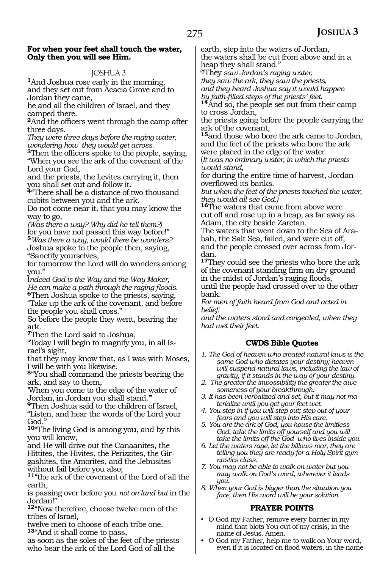### **For when your feet shall touch the water, Only then you will see Him.**

### JOSHUA 3

**<sup>1</sup>**And Joshua rose early in the morning, and they set out from Acacia Grove and to Jordan they came,

he and all the children of Israel, and they camped there.

**<sup>2</sup>**And the officers went through the camp after three days.

*They were three days before the raging water, wondering how they would get across.*

**<sup>3</sup>**Then the officers spoke to the people, saying, "When you see the ark of the covenant of the Lord your God,

and the priests, the Levites carrying it, then you shall set out and follow it.

**<sup>4</sup>**"There shall be a distance of two thousand cubits between you and the ark.

Do not come near it, that you may know the way to go,

*(Was there a way? Why did he tell them?)*  for you have not passed this way before!" **<sup>5</sup>***Was there a way, would there be wonders?* Joshua spoke to the people then, saying, "Sanctify yourselves,

for tomorrow the Lord will do wonders among you."

I*ndeed God is the Way and the Way Maker, He can make a path through the raging floods.* **<sup>6</sup>**Then Joshua spoke to the priests, saying,

"Take up the ark of the covenant, and before the people you shall cross."

So before the people they went, bearing the ark.

**<sup>7</sup>**Then the Lord said to Joshua,

"Today I will begin to magnify you, in all Israel's sight,

that they may know that, as I was with Moses, I will be with you likewise.

**<sup>8</sup>**"You shall command the priests bearing the ark, and say to them,

'When you come to the edge of the water of Jordan, in Jordan you shall stand.'"

**<sup>9</sup>**Then Joshua said to the children of Israel, "Listen, and hear the words of the Lord your God.'

**<sup>10</sup>**"The living God is among you, and by this you will know,

and He will drive out the Canaanites, the Hittites, the Hivites, the Perizzites, the Girgashites, the Amorites, and the Jebusites without fail before you also;

**<sup>11</sup>**"the ark of the covenant of the Lord of all the earth,

is passing over before you *not on land but* in the Jordan!"

**<sup>12</sup>**"Now therefore, choose twelve men of the tribes of Israel,

twelve men to choose of each tribe one. **<sup>13</sup>**"And it shall come to pass,

as soon as the soles of the feet of the priests who bear the ark of the Lord God of all the

earth, step into the waters of Jordan, the waters shall be cut from above and in a heap they shall stand."

**@**They *saw Jordan's raging water,* 

*they saw the ark, they saw the priests, and they heard Joshua say it would happen* 

*b*<sup>4</sup>And so, the people set out from their camp to cross Jordan,

the priests going before the people carrying the ark of the covenant,

**<sup>15</sup>**and those who bore the ark came to Jordan, and the feet of the priests who bore the ark were placed in the edge of the water. (*It was no ordinary water, in which the priests* 

*would stand,* for during the entire time of harvest, Jordan overflowed its banks.

*but when the feet of the priests touched the water, they would all see God.)* 

**<sup>16</sup>**The waters that came from above were cut off and rose up in a heap, as far away as Adam, the city beside Zaretan.

The waters that went down to the Sea of Arabah, the Salt Sea, failed, and were cut off, and the people crossed over across from Jordan.

**<sup>17</sup>**They could see the priests who bore the ark of the covenant standing firm on dry ground in the midst of Jordan's raging floods, until the people had crossed over to the other bank.

*For men of faith heard from God and acted in belief,*

*and the waters stood and congealed, when they had wet their feet.* 

### **CWDS Bible Quotes**

*1. The God of heaven who created natural laws is the same God who dictates your destiny; heaven will suspend natural laws, including the law of gravity, if it stands in the way of your destiny.*

*2. The greater the impossibility the greater the awesomeness of your breakthrough.*

*3. It has been verbalized and set, but it may not materialize until you get your feet wet.*

- *4. You step in if you will step out; step out of your fears and you will step into His care.*
- *5. You are the ark of God, you house the limitless God, take the limits off yourself and you will take the limits off the God who lives inside you.*
- *6. Let the waters rage, let the billows roar, they are telling you they are ready for a Holy Spirit gymnastics class.*
- *7. You may not be able to walk on water but you may walk on God's word, wherever it leads you.*
- *8. When your God is bigger than the situation you face, then His word will be your solution.*

### **PRAYER POINTS**

- O God my Father, remove every barrier in my mind that blots You out of my crisis, in the name of Jesus. Amen.
- O God my Father, help me to walk on Your word, even if it is located on flood waters, in the name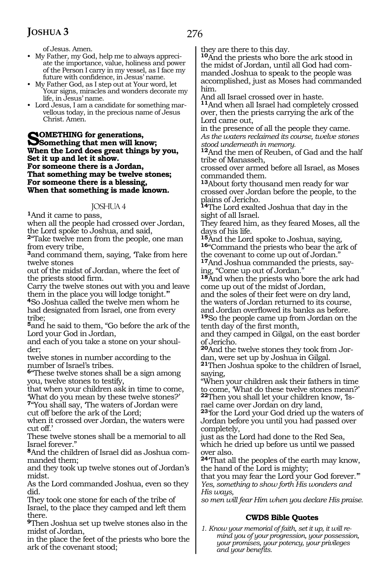of Jesus. Amen.

- My Father, my God, help me to always appreciate the importance, value, holiness and power of the Person I carry in my vessel, as I face my future with confidence, in Jesus' name.
- My Father God, as I step out at Your word, let Your signs, miracles and wonders decorate my life, in Jesus' name.
- Lord Jesus, I am a candidate for something marvellous today, in the precious name of Jesus Christ. Amen.

**SOMETHING for generations,**<br>
Something that men will know;<br>
When the Laul dass great things by **When the Lord does great things by you, Set it up and let it show. For someone there is a Jordan, That something may be twelve stones; For someone there is a blessing, When that something is made known.**

### JOSHUA 4

**<sup>1</sup>**And it came to pass,

when all the people had crossed over Jordan, the Lord spoke to Joshua, and said,

**<sup>2</sup>**"Take twelve men from the people, one man from every tribe,

<sup>3</sup>and command them, saying, Take from here twelve stones

out of the midst of Jordan, where the feet of the priests stood firm.

Carry the twelve stones out with you and leave them in the place you will lodge tonight.'"

**<sup>4</sup>**So Joshua called the twelve men whom he had designated from Israel, one from every tribe;

**<sup>5</sup>**and he said to them, "Go before the ark of the Lord your God in Jordan,

and each of you take a stone on your shoulder;

twelve stones in number according to the number of Israel's tribes.

**<sup>6</sup>**"These twelve stones shall be a sign among you, twelve stones to testify,

that when your children ask in time to come, 'What do you mean by these twelve stones?'

**<sup>7</sup>**"You shall say, 'The waters of Jordan were cut off before the ark of the Lord;

when it crossed over Jordan, the waters were cut off.'

These twelve stones shall be a memorial to all Israel forever."

**8**And the children of Israel did as Joshua commanded them;

and they took up twelve stones out of Jordan's midst.

As the Lord commanded Joshua, even so they did.

They took one stone for each of the tribe of Israel, to the place they camped and left them there.

**<sup>9</sup>**Then Joshua set up twelve stones also in the midst of Jordan,

in the place the feet of the priests who bore the ark of the covenant stood;

they are there to this day.

**<sup>10</sup>**And the priests who bore the ark stood in the midst of Jordan, until all God had commanded Joshua to speak to the people was accomplished, just as Moses had commanded him.

And all Israel crossed over in haste.

**<sup>11</sup>**And when all Israel had completely crossed over, then the priests carrying the ark of the Lord came out,

in the presence of all the people they came. *As the waters reclaimed its course, twelve stones stood underneath in memory.*

**<sup>12</sup>**And the men of Reuben, of Gad and the half tribe of Manasseh,

crossed over armed before all Israel, as Moses commanded them.

**<sup>13</sup>**About forty thousand men ready for war crossed over Jordan before the people, to the plains of Jericho.

**<sup>14</sup>**The Lord exalted Joshua that day in the sight of all Israel.

They feared him, as they feared Moses, all the

days of his life.<br><sup>15</sup>And the Lord spoke to Joshua, saying, **16**"Command the priests who bear the ark of the covenant to come up out of Jordan."

**17**And Joshua commanded the priests, saying, "Come up out of Jordan."

**<sup>18</sup>**And when the priests who bore the ark had come up out of the midst of Jordan, and the soles of their feet were on dry land, the waters of Jordan returned to its course, and Jordan overflowed its banks as before.

**<sup>19</sup>**So the people came up from Jordan on the tenth day of the first month,

and they camped in Gilgal, on the east border of Jericho.

**<sup>20</sup>**And the twelve stones they took from Jor- dan, were set up by Joshua in Gilgal.

**<sup>21</sup>**Then Joshua spoke to the children of Israel, saying,

"When your children ask their fathers in time to come, 'What do these twelve stones mean?'

**<sup>22</sup>**Then you shall let your children know, 'Is- rael came over Jordan on dry land,

**<sup>23</sup>**'for the Lord your God dried up the waters of Jordan before you until you had passed over completely,

just as the Lord had done to the Red Sea, which he dried up before us until we passed over also.

**<sup>24</sup>**'That all the peoples of the earth may know, the hand of the Lord is mighty;

that you may fear the Lord your God forever.'" *Yes, something to show forth His wonders and His ways,*

*so men will fear Him when you declare His praise.*

### **CWDS Bible Quotes**

*1. Know your memorial of faith, set it up, it will remind you of your progression, your possession, your promises, your potency, your privileges and your benefits.*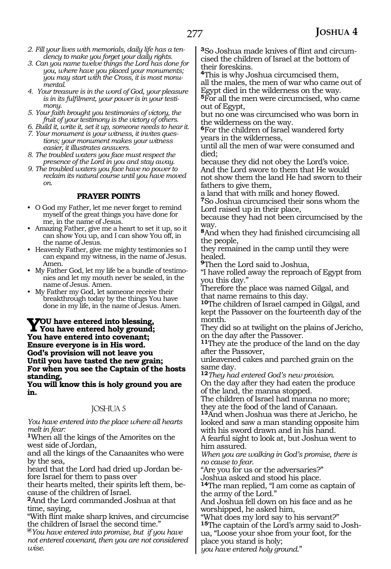- *2. Fill your lives with memorials, daily life has a tendency to make you forget your daily rights.*
- *3. Can you name twelve things the Lord has done for you, where have you placed your monuments; you may start with the Cross, it is most monumental.*
- *4. Your treasure is in the word of God, your pleasure is in its fulfilment, your power is in your testimony.*
- *5. Your faith brought you testimonies of victory, the fruit of your testimony is the victory of others.*
- *6. Build it, write it, set it up, someone needs to hear it. 7. Your monument is your witness, it invites ques-*
- *tions; your monument makes your witness easier, it illustrates answers.*
- *8. The troubled waters you face must respect the presence of the Lord in you and stay away.*
- *9. The troubled waters you face have no power to reclaim its natural course until you have moved on.*

### **PRAYER POINTS**

- O God my Father, let me never forget to remind myself of the great things you have done for me, in the name of Jesus.
- Amazing Father, give me a heart to set it up, so it can show You up, and I can show You off, in the name of Jesus.
- Heavenly Father, give me mighty testimonies so I can expand my witness, in the name of Jesus. Amen.
- My Father God, let my life be a bundle of testimonies and let my mouth never be sealed, in the name of Jesus. Amen.
- My Father my God, let someone receive their breakthrough today by the things You have done in my life, in the name of Jesus. Amen.

**You have entered into blessing, You have entered holy ground; You have entered into covenant; Ensure everyone is in His word. God's provision will not leave you Until you have tasted the new grain; For when you see the Captain of the hosts standing,**

**You will know this is holy ground you are in.**

### JOSHUA 5

*You have entered into the place where all hearts melt in fear:*

**<sup>1</sup>**When all the kings of the Amorites on the west side of Jordan,

and all the kings of the Canaanites who were by the sea,

heard that the Lord had dried up Jordan be- fore Israel for them to pass over

their hearts melted, their spirits left them, be- cause of the children of Israel.

**<sup>2</sup>**And the Lord commanded Joshua at that time, saying,

"With flint make sharp knives, and circumcise the children of Israel the second time."

**@***You have entered into promise, but if you have not entered covenant, then you are not considered wise.*

**<sup>3</sup>**So Joshua made knives of flint and circum- cised the children of Israel at the bottom of their foreskins.

**<sup>4</sup>**This is why Joshua circumcised them, all the males, the men of war who came out of Egypt died in the wilderness on the way.

**<sup>5</sup>**For all the men were circumcised, who came out of Egypt,

but no one was circumcised who was born in the wilderness on the way.

**<sup>6</sup>**For the children of Israel wandered forty years in the wilderness,

until all the men of war were consumed and died;

because they did not obey the Lord's voice. And the Lord swore to them that He would not show them the land He had sworn to their fathers to give them,

a land that with milk and honey flowed. **<sup>7</sup>**So Joshua circumcised their sons whom the

Lord raised up in their place, because they had not been circumcised by the way.

**<sup>8</sup>**And when they had finished circumcising all the people,

they remained in the camp until they were healed.

**<sup>9</sup>**Then the Lord said to Joshua,

"I have rolled away the reproach of Egypt from you this day."

Therefore the place was named Gilgal, and that name remains to this day.

**<sup>10</sup>**The children of Israel camped in Gilgal, and kept the Passover on the fourteenth day of the month.

They did so at twilight on the plains of Jericho, on the day after the Passover.

**<sup>11</sup>**They ate the produce of the land on the day after the Passover,

unleavened cakes and parched grain on the same day.

**<sup>12</sup>***They had entered God's new provision.*

On the day after they had eaten the produce of the land, the manna stopped.

The children of Israel had manna no more; they ate the food of the land of Canaan.

**<sup>13</sup>**And when Joshua was there at Jericho, he looked and saw a man standing opposite him with his sword drawn and in his hand.

A fearful sight to look at, but Joshua went to him assured.

*When you are walking in God's promise, there is no cause to fear.*

"Are you for us or the adversaries?"

Joshua asked and stood his place.

**<sup>14</sup>**The man replied, "I am come as captain of the army of the Lord."

And Joshua fell down on his face and as he worshipped, he asked him,

"What does my lord say to his servant?" **<sup>15</sup>**The captain of the Lord's army said to Josh- ua, "Loose your shoe from your foot, for the place you stand is holy;

*you have entered holy ground*."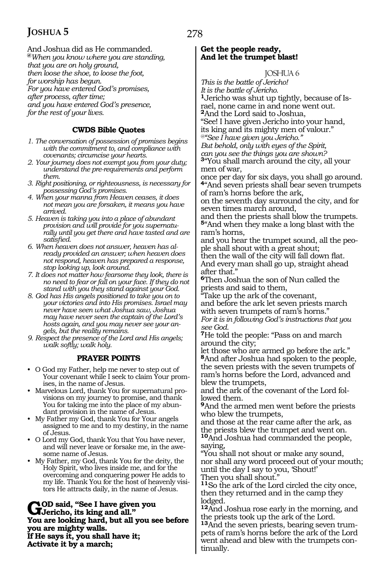And Joshua did as He commanded. **@***When you know where you are standing, that you are on holy ground, then loose the shoe, to loose the foot, for worship has begun. For you have entered God's promises, after process, after time; and you have entered God's presence, for the rest of your lives.*

### **CWDS Bible Quotes**

- *1. The conversation of possession of promises begins with the commitment to, and compliance with covenants; circumcise your hearts.*
- *2. Your journey does not exempt you from your duty; understand the pre-requirements and perform them.*
- *3. Right positioning, or righteousness, is necessary for possessing God's promises.*
- *4. When your manna from Heaven ceases, it does not mean you are forsaken, it means you have arrived.*
- *5. Heaven is taking you into a place of abundant provision and will provide for you supernaturally until you get there and have tasted and are satisfied.*
- *6. When heaven does not answer, heaven has already provided an answer; when heaven does not respond, heaven has prepared a response, stop looking up, look around.*
- *7. It does not matter how fearsome they look, there is no need to fear or fall on your face. If they do not stand with you they stand against your God.*
- *8. God has His angels positioned to take you on to your victories and into His promises. Israel may never have seen what Joshua saw, Joshua may have never seen the captain of the Lord's hosts again, and you may never see your angels, but the reality remains.*
- *9. Respect the presence of the Lord and His angels; walk softly; walk holy.*

### **PRAYER POINTS**

- O God my Father, help me never to step out of Your covenant while I seek to claim Your promises, in the name of Jesus.
- Marvelous Lord, thank You for supernatural provisions on my journey to promise, and thank You for taking me into the place of my abundant provision in the name of Jesus.
- My Father my God, thank You for Your angels assigned to me and to my destiny, in the name of Jesus.
- O Lord my God, thank You that You have never, and will never leave or forsake me, in the awesome name of Jesus.
- My Father, my God, thank You for the deity, the Holy Spirit, who lives inside me, and for the overcoming and conquering power He adds to my life. Thank You for the host of heavenly visitors He attracts daily, in the name of Jesus.

God said, "See I have given you<br> **G** Jericho, its king and all."<br>
You are leaking hard, but all revea **You are looking hard, but all you see before you are mighty walls. If He says it, you shall have it; Activate it by a march;**

### **Get the people ready, And let the trumpet blast!**

JOSHUA 6

*This is the battle of Jericho! It is the battle of Jericho.*

**1**Jericho was shut up tightly, because of Israel, none came in and none went out.

**<sup>2</sup>**And the Lord said to Joshua,

"See! I have given Jericho into your hand, its king and its mighty men of valour."

*@"See I have given you Jericho."* 

*But behold, only with eyes of the Spirit,*

*can you see the things you are shown?* **<sup>3</sup>**"You shall march around the city, all your men of war,

once per day for six days, you shall go around. **<sup>4</sup>**"And seven priests shall bear seven trumpets of ram's horns before the ark,

on the seventh day surround the city, and for seven times march around,

and then the priests shall blow the trumpets. **<sup>5</sup>**"And when they make a long blast with the ram's horns,

and you hear the trumpet sound, all the people shall shout with a great shout;

then the wall of the city will fall down flat. And every man shall go up, straight ahead after that."

**<sup>6</sup>**Then Joshua the son of Nun called the priests and said to them,

Take up the ark of the covenant, and before the ark let seven priests march with seven trumpets of ram's horns." *For it is in following God's instructions that you see God.*

**<sup>7</sup>**He told the people: "Pass on and march around the city;

let those who are armed go before the ark." **<sup>8</sup>**And after Joshua had spoken to the people, the seven priests with the seven trumpets of ram's horns before the Lord, advanced and blew the trumpets,

and the ark of the covenant of the Lord followed them.

**<sup>9</sup>**And the armed men went before the priests who blew the trumpets,

and those at the rear came after the ark, as the priests blew the trumpet and went on.

**<sup>10</sup>**And Joshua had commanded the people, saying,

"You shall not shout or make any sound, nor shall any word proceed out of your mouth; until the day I say to you, 'Shout!' Then you shall shout."

**<sup>11</sup>**So the ark of the Lord circled the city once, then they returned and in the camp they lodged.

**<sup>12</sup>**And Joshua rose early in the morning, and the priests took up the ark of the Lord.

**13**And the seven priests, bearing seven trumpets of ram's horns before the ark of the Lord went ahead and blew with the trumpets continually.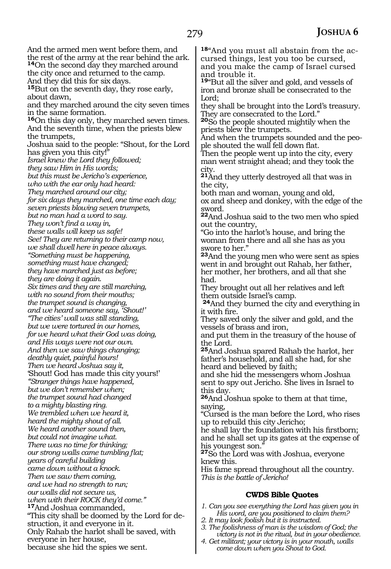And the armed men went before them, and the rest of the army at the rear behind the ark. **<sup>14</sup>**On the second day they marched around the city once and returned to the camp. And they did this for six days. **<sup>15</sup>**But on the seventh day, they rose early, about dawn, and they marched around the city seven times in the same formation. **<sup>16</sup>**On this day only, they marched seven times. And the seventh time, when the priests blew the trumpets, Joshua said to the people: "Shout, for the Lord has given you this city!" *Israel knew the Lord they followed; they saw Him in His words; but this must be Jericho's experience, who with the ear only had heard: They marched around our city; for six days they marched, one time each day; seven priests blowing seven trumpets, but no man had a word to say. They won't find a way in, these walls will keep us safe! See! They are returning to their camp now, we shall dwell here in peace always. "Something must be happening, something must have changed; they have marched just as before; they are doing it again. Six times and they are still marching, with no sound from their mouths; the trumpet sound is changing, and we heard someone say, 'Shout!' "The cities' wall was still standing, but we were tortured in our homes, for we heard what their God was doing, and His ways were not our own. And then we saw things changing; deathly quiet, painful hours! Then we heard Joshua say it,* 'Shout! God has made this city yours!' *"Stranger things have happened, but we don't remember when; the trumpet sound had changed to a mighty blasting ring. We trembled when we heard it, heard the mighty shout of all. We heard another sound then, but could not imagine what. There was no time for thinking; our strong walls came tumbling flat; years of careful building came down without a knock. Then we saw them coming, and we had no strength to run; our walls did not secure us, when with their ROCK they'd come."* **<sup>17</sup>**And Joshua commanded, "This city shall be doomed by the Lord for destruction, it and everyone in it. Only Rahab the harlot shall be saved, with everyone in her house, because she hid the spies we sent. **18**"And you must all abstain from the ac-

cursed things, lest you too be cursed, and you make the camp of Israel cursed and trouble it. **<sup>19</sup>**"But all the silver and gold, and vessels of iron and bronze shall be consecrated to the Lord; they shall be brought into the Lord's treasury. They are consecrated to the Lord." **<sup>20</sup>**So the people shouted mightily when the priests blew the trumpets. And when the trumpets sounded and the people shouted the wall fell down flat. Then the people went up into the city, every man went straight ahead; and they took the city. **<sup>21</sup>**And they utterly destroyed all that was in the city, both man and woman, young and old, ox and sheep and donkey, with the edge of the sword. **<sup>22</sup>**And Joshua said to the two men who spied out the country, "Go into the harlot's house, and bring the woman from there and all she has as you swore to her." **<sup>23</sup>**And the young men who were sent as spies went in and brought out Rahab, her father, her mother, her brothers, and all that she had. They brought out all her relatives and left them outside Israel's camp. **<sup>24</sup>**And they burned the city and everything in it with fire. They saved only the silver and gold, and the vessels of brass and iron, and put them in the treasury of the house of the Lord. **<sup>25</sup>**And Joshua spared Rahab the harlot, her father's household, and all she had, for she heard and believed by faith; and she hid the messengers whom Joshua sent to spy out Jericho. She lives in Israel to this day. **<sup>26</sup>**And Joshua spoke to them at that time, saying, "Cursed is the man before the Lord, who rises up to rebuild this city Jericho; he shall lay the foundation with his firstborn; and he shall set up its gates at the expense of his youngest son." **<sup>27</sup>**So the Lord was with Joshua, everyone knew this. His fame spread throughout all the country. *This is the battle of Jericho!* **CWDS Bible Quotes** *1. Can you see everything the Lord has given you in His word, are you positioned to claim them? 2. It may look foolish but it is instructed. 3. The foolishness of man is the wisdom of God; the victory is not in the ritual, but in your obedience.*

*4. Get militant; your victory is in your mouth, walls come down when you Shout to God.*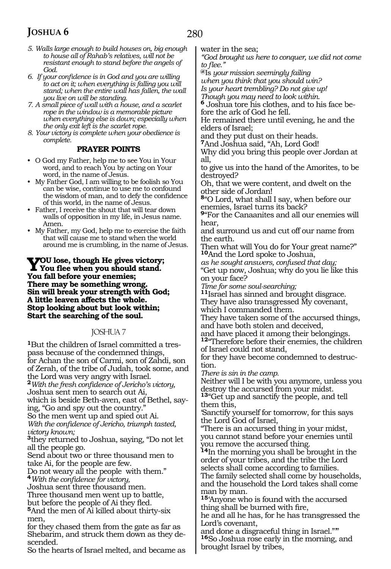- *5. Walls large enough to build houses on, big enough to house all of Rahab's relatives, will not be resistant enough to stand before the angels of God.*
- *6. If your confidence is in God and you are willing to act on it; when everything is falling you will stand; when the entire wall has fallen, the wall you live on will be standing.*
- *7. A small piece of wall with a house, and a scarlet rope in the window is a memorable picture when everything else is down; especially when the only exit left is the scarlet rope.*

*8. Your victory is complete when your obedience is complete.* 

### **PRAYER POINTS**

- O God my Father, help me to see You in Your word, and to reach You by acting on Your word, in the name of Jesus.
- My Father God, I am willing to be foolish so You can be wise, continue to use me to confound the wisdom of man, and to defy the confidence of this world, in the name of Jesus.
- Father, I receive the shout that will tear down walls of opposition in my life, in Jesus name. Amen.
- My Father, my God, help me to exercise the faith that will cause me to stand when the world around me is crumbling, in the name of Jesus.

**YOU** lose, though He gives victory;<br>You flee when you should stand. **You fall before your enemies; There may be something wrong. Sin will break your strength with God; A little leaven affects the whole. Stop looking about but look within; Start the searching of the soul.**

### JOSHUA 7

**1**But the children of Israel committed a trespass because of the condemned things, for Achan the son of Carmi, son of Zahdi, son of Zerah, of the tribe of Judah, took some, and the Lord was very angry with Israel. **<sup>2</sup>***With the fresh confidence of Jericho's victory,* Joshua sent men to search out Ai, which is beside Beth-aven, east of Bethel, saying, "Go and spy out the country." So the men went up and spied out Ai. *With the confidence of Jericho, triumph tasted, victory known;* **<sup>3</sup>**they returned to Joshua, saying, "Do not let all the people go. Send about two or three thousand men to take Ai, for the people are few. Do not weary all the people with them." **<sup>4</sup>***With the confidence for victory,* Joshua sent three thousand men. Three thousand men went up to battle, but before the people of Ai they fled. **<sup>5</sup>**And the men of Ai killed about thirty-six men, for they chased them from the gate as far as Shebarim, and struck them down as they descended.

So the hearts of Israel melted, and became as

water in the sea;

*"God brought us here to conquer, we did not come to flee."*

**@**Is *your mission seemingly failing when you think that you should win?*

*Is your heart trembling? Do not give up!*

*Though you may need to look within.*

**6** Joshua tore his clothes, and to his face before the ark of God he fell.

He remained there until evening, he and the elders of Israel;

and they put dust on their heads.

**<sup>7</sup>**And Joshua said, "Ah, Lord God!

Why did you bring this people over Jordan at all,

to give us into the hand of the Amorites, to be destroyed?

Oh, that we were content, and dwelt on the other side of Jordan!

**<sup>8</sup>**"O Lord, what shall I say, when before our enemies, Israel turns its back?

**<sup>9</sup>**"For the Canaanites and all our enemies will hear,

and surround us and cut off our name from the earth.

Then what will You do for Your great name?" **<sup>10</sup>**And the Lord spoke to Joshua,

*as he sought answers, confused that day;* "Get up now, Joshua; why do you lie like this on your face?

*Time for some soul-searching;*

**<sup>11</sup>**Israel has sinned and brought disgrace.

They have also transgressed My covenant, which I commanded them.

They have taken some of the accursed things, and have both stolen and deceived,

and have placed it among their belongings.

**<sup>12</sup>**"Therefore before their enemies, the children of Israel could not stand,

for they have become condemned to destruction.

*There is sin in the camp.*

Neither will I be with you anymore, unless you destroy the accursed from your midst.

**<sup>13</sup>**"Get up and sanctify the people, and tell them this,

'Sanctify yourself for tomorrow, for this says the Lord God of Israel,

"There is an accursed thing in your midst, you cannot stand before your enemies until you remove the accursed thing.

**<sup>14</sup>**In the morning you shall be brought in the order of your tribes, and the tribe the Lord selects shall come according to families. The family selected shall come by households, and the household the Lord takes shall come man by man.

**<sup>15</sup>**'Anyone who is found with the accursed thing shall be burned with fire,

he and all he has, for he has transgressed the Lord's covenant,

and done a disgraceful thing in Israel."'" **<sup>16</sup>**So Joshua rose early in the morning, and brought Israel by tribes,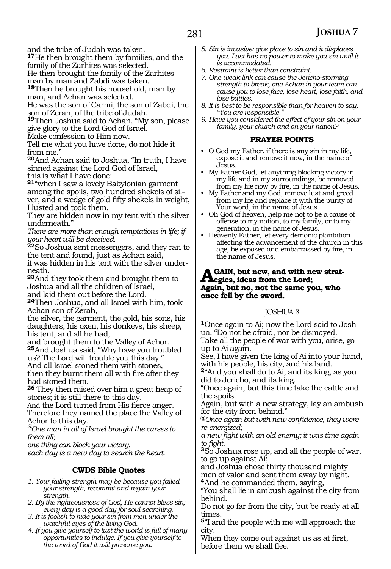and the tribe of Judah was taken.

**<sup>17</sup>**He then brought them by families, and the

family of the Zarhites was selected.

He then brought the family of the Zarhites

man by man and Zabdi was taken.

**<sup>18</sup>**Then he brought his household, man by man, and Achan was selected.

He was the son of Carmi, the son of Zabdi, the son of Zerah, of the tribe of Judah.

**<sup>19</sup>**Then Joshua said to Achan, "My son, please give glory to the Lord God of Israel.

Make confession to Him now.

Tell me what you have done, do not hide it from me."

**<sup>20</sup>**And Achan said to Joshua, "In truth, I have sinned against the Lord God of Israel, this is what I have done:

**<sup>21</sup>**"when I saw a lovely Babylonian garment among the spoils, two hundred shekels of silver, and a wedge of gold fifty shekels in weight, I lusted and took them.

They are hidden now in my tent with the silver underneath."

*There are more than enough temptations in life; if your heart will be deceived.*

**<sup>22</sup>**So Joshua sent messengers, and they ran to the tent and found, just as Achan said,

it was hidden in his tent with the silver underneath.

**<sup>23</sup>**And they took them and brought them to Joshua and all the children of Israel, and laid them out before the Lord.

**<sup>24</sup>**Then Joshua, and all Israel with him, took Achan son of Zerah,

the silver, the garment, the gold, his sons, his daughters, his oxen, his donkeys, his sheep, his tent, and all he had,

and brought them to the Valley of Achor. **<sup>25</sup>**And Joshua said, "Why have you troubled us? The Lord will trouble you this day."

And all Israel stoned them with stones, then they burnt them all with fire after they had stoned them.

**<sup>26</sup>**They then raised over him a great heap of stones; it is still there to this day.

And the Lord turned from His fierce anger. Therefore they named the place the Valley of

Achor to this day. *@One man in all of Israel brought the curses to them all;*

*one thing can block your victory,*

*each day is a new day to search the heart.* 

### **CWDS Bible Quotes**

*1. Your failing strength may be because you failed your strength, recommit and regain your strength.*

*2. By the righteousness of God, He cannot bless sin; every day is a good day for soul searching.*

*3. It is foolish to hide your sin from men under the watchful eyes of the living God.*

*4. If you give yourself to lust the world is full of many opportunities to indulge. If you give yourself to the word of God it will preserve you.*

- *5. Sin is invasive; give place to sin and it displaces you. Lust has no power to make you sin until it is accommodated.*
- *6. Restraint is better than constraint.*
- *7. One weak link can cause the Jericho-storming strength to break, one Achan in your team can cause you to lose face, lose heart, lose faith, and lose battles.*
- *8. It is best to be responsible than for heaven to say, "You are responsible."*
- *9. Have you considered the effect of your sin on your family, your church and on your nation?*

### **PRAYER POINTS**

- O God my Father, if there is any sin in my life, expose it and remove it now, in the name of Jesus.
- My Father God, let anything blocking victory in my life and in my surroundings, be removed from my life now by fire, in the name of Jesus.
- My Father and my God, remove lust and greed from my life and replace it with the purity of Your word, in the name of Jesus.
- Oh God of heaven, help me not to be a cause of offense to my nation, to my family, or to my generation, in the name of Jesus.
- Heavenly Father, let every demonic plantation affecting the advancement of the church in this age, be exposed and embarrassed by fire, in the name of Jesus.

### **A**GAIN, but new, and with new strat-<br> **Again** but no not the same way who **Again, but no, not the same you, who once fell by the sword.**

### JOSHUA 8

**1**Once again to Ai; now the Lord said to Joshua, "Do not be afraid, nor be dismayed. Take all the people of war with you, arise, go up to Ai again.

See, I have given the king of Ai into your hand, with his people, his city, and his land.

**<sup>2</sup>**"And you shall do to Ai, and its king, as you did to Jericho, and its king.

"Once again, but this time take the cattle and the spoils.

Again, but with a new strategy, lay an ambush for the city from behind."

**@***Once again but with new confidence, they were re-energized;* 

*a new fight with an old enemy; it was time again* 

*to fight*. **3**So Joshua rose up, and all the people of war, to go up against Ai;

and Joshua chose thirty thousand mighty men of valor and sent them away by night. **<sup>4</sup>**And he commanded them, saying,

"You shall lie in ambush against the city from behind.

Do not go far from the city, but be ready at all times.

**<sup>5</sup>**"I and the people with me will approach the city.

When they come out against us as at first, before them we shall flee.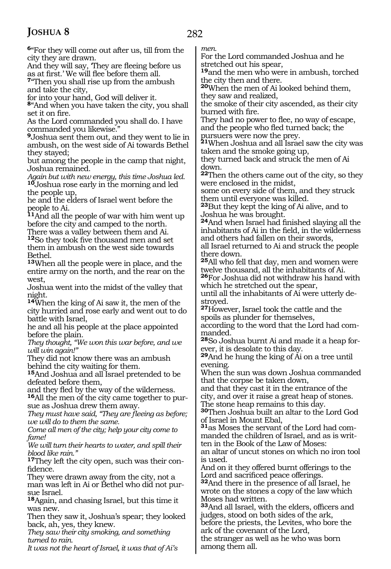**<sup>6</sup>**"For they will come out after us, till from the city they are drawn.

And they will say, 'They are fleeing before us as at first.' We will flee before them all.

**<sup>7</sup>**"Then you shall rise up from the ambush and take the city,

for into your hand, God will deliver it.

**<sup>8</sup>**"And when you have taken the city, you shall set it on fire.

As the Lord commanded you shall do. I have commanded you likewise."

**<sup>9</sup>**Joshua sent them out, and they went to lie in ambush, on the west side of Ai towards Bethel they stayed;

but among the people in the camp that night, Joshua remained.

*Again but with new energy, this time Joshua led.* **<sup>10</sup>**Joshua rose early in the morning and led the people up,

he and the elders of Israel went before the people to Ai.

**<sup>11</sup>**And all the people of war with him went up before the city and camped to the north.

There was a valley between them and Ai. **<sup>12</sup>**So they took five thousand men and set them in ambush on the west side towards Bethel.

**<sup>13</sup>**When all the people were in place, and the entire army on the north, and the rear on the west,

Joshua went into the midst of the valley that night.

**<sup>14</sup>**When the king of Ai saw it, the men of the city hurried and rose early and went out to do battle with Israel,

he and all his people at the place appointed before the plain.

*They thought, "We won this war before, and we will win again!"*

They did not know there was an ambush behind the city waiting for them.

**<sup>15</sup>**And Joshua and all Israel pretended to be defeated before them,

and they fled by the way of the wilderness. **<sup>16</sup>**All the men of the city came together to pur- sue as Joshua drew them away.

*They must have said, "They are fleeing as before; we will do to them the same.*

*Come all men of the city; help your city come to fame!*

*We will turn their hearts to water, and spill their blood like rain."*

**17**They left the city open, such was their confidence.

They were drawn away from the city, not a man was left in Ai or Bethel who did not pursue Israel.

**<sup>18</sup>**Again, and chasing Israel, but this time it was new.

Then they saw it, Joshua's spear; they looked back, ah, yes, they knew.

*They saw their city smoking, and something turned to rain.* 

*It was not the heart of Israel, it was that of Ai's* 

*men.* 

For the Lord commanded Joshua and he stretched out his spear,

**<sup>19</sup>**and the men who were in ambush, torched the city then and there.

**<sup>20</sup>**When the men of Ai looked behind them, they saw and realized,

the smoke of their city ascended, as their city burned with fire.

They had no power to flee, no way of escape, and the people who fled turned back; the pursuers were now the prey.

**<sup>21</sup>**When Joshua and all Israel saw the city was taken and the smoke going up,

they turned back and struck the men of Ai down.

**<sup>22</sup>**Then the others came out of the city, so they were enclosed in the midst,

some on every side of them, and they struck them until everyone was killed.

**<sup>23</sup>**But they kept the king of Ai alive, and to Joshua he was brought.

**<sup>24</sup>**And when Israel had finished slaying all the inhabitants of Ai in the field, in the wilderness and others had fallen on their swords,

all Israel returned to Ai and struck the people there down.

**<sup>25</sup>**All who fell that day, men and women were twelve thousand, all the inhabitants of Ai.

**<sup>26</sup>**For Joshua did not withdraw his hand with which he stretched out the spear,

until all the inhabitants of Ai were utterly destroyed.

**<sup>27</sup>**However, Israel took the cattle and the spoils as plunder for themselves,

according to the word that the Lord had commanded.

**28**So Joshua burnt Ai and made it a heap forever, it is desolate to this day.

**<sup>29</sup>**And he hung the king of Ai on a tree until evening.

When the sun was down Joshua commanded that the corpse be taken down,

and that they cast it in the entrance of the city, and over it raise a great heap of stones. The stone heap remains to this day.

**<sup>30</sup>**Then Joshua built an altar to the Lord God of Israel in Mount Ebal,

**31**as Moses the servant of the Lord had commanded the children of Israel, and as is written in the Book of the Law of Moses:

an altar of uncut stones on which no iron tool is used.

And on it they offered burnt offerings to the Lord and sacrificed peace offerings.

**<sup>32</sup>**And there in the presence of all Israel, he wrote on the stones a copy of the law which Moses had written.

**<sup>33</sup>**And all Israel, with the elders, officers and judges, stood on both sides of the ark,

before the priests, the Levites, who bore the ark of the covenant of the Lord,

the stranger as well as he who was born among them all.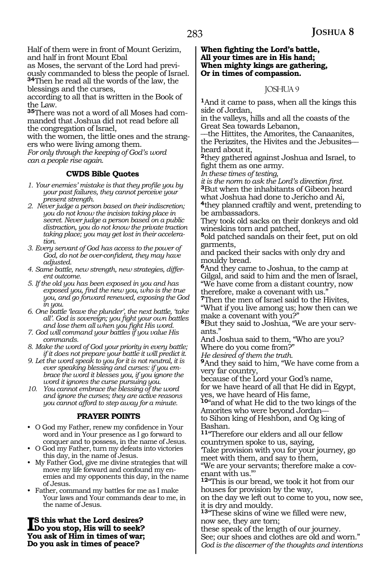Half of them were in front of Mount Gerizim, and half in front Mount Ebal

as Moses, the servant of the Lord had previously commanded to bless the people of Israel. **<sup>34</sup>**Then he read all the words of the law, the blessings and the curses,

according to all that is written in the Book of the Law.

**35**There was not a word of all Moses had commanded that Joshua did not read before all the congregation of Israel,

with the women, the little ones and the strangers who were living among them.

*For only through the keeping of God's word can a people rise again.* 

### **CWDS Bible Quotes**

- *1. Your enemies' mistake is that they profile you by your past failures, they cannot perceive your present strength.*
- *2. Never judge a person based on their indiscretion; you do not know the incision taking place in secret. Never judge a person based on a public distraction, you do not know the private traction taking place; you may get lost in their acceleration.*
- *3. Every servant of God has access to the power of God, do not be over-confident, they may have adjusted.*
- *4. Same battle, new strength, new strategies, different outcome.*
- *5. If the old you has been exposed in you and has exposed you, find the new you, who is the true you, and go forward renewed, exposing the God in you.*
- *6. One battle 'leave the plunder', the next battle, 'take all'. God is sovereign; you fight your own battles and lose them all when you fight His word.*
- *7. God will command your battles if you value His commands.*
- *8. Make the word of God your priority in every battle; if it does not prepare your battle it will predict it.*
- *9. Let the word speak to you for it is not neutral, it is ever speaking blessing and curses: if you embrace the word it blesses you, if you ignore the word it ignores the curse pursuing you.*
- *10. You cannot embrace the blessing of the word and ignore the curses; they are active reasons you cannot afford to step away for a minute.*

### **PRAYER POINTS**

- O God my Father, renew my confidence in Your word and in Your presence as I go forward to conquer and to possess, in the name of Jesus.
- O God my Father, turn my defeats into victories this day, in the name of Jesus.
- My Father God, give me divine strategies that will move my life forward and confound my enemies and my opponents this day, in the name of Jesus.
- Father, command my battles for me as I make Your laws and Your commands dear to me, in the name of Jesus.

**I**S this what the Lord desires?<br>Do you stop, His will to seek? **Do you stop, His will to seek? You ask of Him in times of war; Do you ask in times of peace?**

**When fighting the Lord's battle, All your times are in His hand; When mighty kings are gathering, Or in times of compassion.**

### JOSHUA 9

**<sup>1</sup>**And it came to pass, when all the kings this side of Jordan,

in the valleys, hills and all the coasts of the Great Sea towards Lebanon,

\_\_the Hittites, the Amorites, the Canaanites, the Perizzites, the Hivites and the Jebusites\_\_ heard about it,

**<sup>2</sup>**they gathered against Joshua and Israel, to fight them as one army.

*In these times of testing,*

*it is the norm to ask the Lord's direction first.* **<sup>3</sup>**But when the inhabitants of Gibeon heard what Joshua had done to Jericho and Ai,

**<sup>4</sup>**they planned craftily and went, pretending to be ambassadors.

They took old sacks on their donkeys and old wineskins torn and patched,

**<sup>5</sup>**old patched sandals on their feet, put on old garments,

and packed their sacks with only dry and mouldy bread.

**<sup>6</sup>**And they came to Joshua, to the camp at Gilgal, and said to him and the men of Israel, "We have come from a distant country, now therefore, make a covenant with us."

**<sup>7</sup>**Then the men of Israel said to the Hivites, "What if you live among us; how then can we

make a covenant with you?" **8**But they said to Joshua, "We are your servants."

And Joshua said to them, "Who are you? Where do you come from?"

*He desired of them the truth.*

**<sup>9</sup>**And they said to him, "We have come from a very far country,

because of the Lord your God's name, for we have heard of all that He did in Egypt, yes, we have heard of His fame,

**<sup>10</sup>**"and of what He did to the two kings of the Amorites who were beyond Jordan\_\_

to Sihon king of Heshbon, and Og king of Bashan.

**<sup>11</sup>**"Therefore our elders and all our fellow countrymen spoke to us, saying,

'Take provision with you for your journey, go meet with them, and say to them,

"We are your servants; therefore make a covenant with us."'

**<sup>12</sup>**"This is our bread, we took it hot from our houses for provision by the way,

on the day we left out to come to you, now see, it is dry and mouldy.

**<sup>13</sup>**"These skins of wine we filled were new, now see, they are torn;

these speak of the length of our journey. See; our shoes and clothes are old and worn." *God is the discerner of the thoughts and intentions*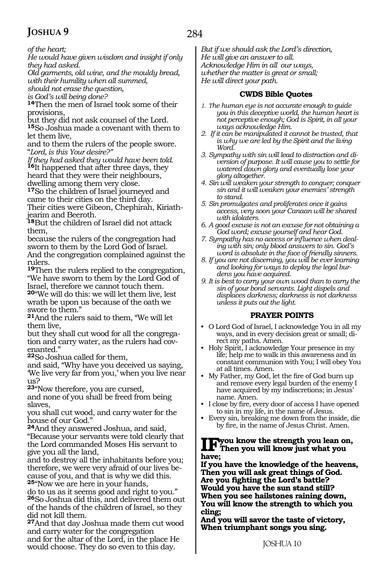*of the heart;*

*He would have given wisdom and insight if only they had asked.*

*Old garments, old wine, and the mouldy bread, with their humility when all summed,*

*should not erase the question,* 

*is God's will being done?*

**<sup>14</sup>**Then the men of Israel took some of their provisions,

but they did not ask counsel of the Lord. **<sup>15</sup>**So Joshua made a covenant with them to let them live,

and to them the rulers of the people swore. "*Lord, is this Your desire?"*

*If they had asked they would have been told.* **<sup>16</sup>**It happened that after three days, they heard that they were their neighbours, dwelling among them very close.

**<sup>17</sup>**So the children of Israel journeyed and came to their cities on the third day. Their cities were Gibeon, Chephirah, Kiriath-

jearim and Beeroth. **<sup>18</sup>**But the children of Israel did not attack them,

because the rulers of the congregation had sworn to them by the Lord God of Israel. And the congregation complained against the rulers.

**<sup>19</sup>**Then the rulers replied to the congregation, "We have sworn to them by the Lord God of Israel, therefore we cannot touch them. **<sup>20</sup>**"We will do this: we will let them live, lest wrath be upon us because of the oath we swore to them."

**<sup>21</sup>**And the rulers said to them, "We will let them live,

but they shall cut wood for all the congrega-<br>tion and carry water, as the rulers had cov-<br>enanted."

**<sup>22</sup>**So Joshua called for them,

and said, "Why have you deceived us saying, 'We live very far from you,' when you live near us?

**<sup>23</sup>**"Now therefore, you are cursed,

and none of you shall be freed from being slaves,

you shall cut wood, and carry water for the house of our God."

**<sup>24</sup>**And they answered Joshua, and said, "Because your servants were told clearly that the Lord commanded Moses His servant to give you all the land,

and to destroy all the inhabitants before you; therefore, we were very afraid of our lives because of you, and that is why we did this. **<sup>25</sup>**"Now we are here in your hands,

do to us as it seems good and right to you." **<sup>26</sup>**So Joshua did this, and delivered them out of the hands of the children of Israel, so they did not kill them.

**<sup>27</sup>**And that day Joshua made them cut wood and carry water for the congregation and for the altar of the Lord, in the place He

would choose. They do so even to this day.

*But if we should ask the Lord's direction, He will give an answer to all. Acknowledge Him in all our ways, whether the matter is great or small; He will direct your path.*

### **CWDS Bible Quotes**

- *1. The human eye is not accurate enough to guide you in this deceptive world, the human heart is not perceptive enough; God is Spirit, in all your ways acknowledge Him.*
- *2. If it can be manipulated it cannot be trusted, that is why we are led by the Spirit and the living Word.*
- *3. Sympathy with sin will lead to distraction and diversion of purpose. It will cause you to settle for watered down glory and eventually lose your glory altogether.*
- *4. Sin will weaken your strength to conquer; conquer sin and it will weaken your enemies' strength to stand.*
- *5. Sin promulgates and proliferates once it gains access, very soon your Canaan will be shared with idolaters.*
- *6. A good excuse is not an excuse for not obtaining a God word; excuse yourself and hear God.*
- *7. Sympathy has no access or influence when dealing with sin; only blood answers to sin. God's word is absolute in the face of friendly sinners.*
- *8. If you are not discerning, you will be ever learning and looking for ways to deploy the legal burdens you have acquired.*
- *9. It is best to carry your own wood than to carry the sin of your bond servants. Light dispels and displaces darkness; darkness is not darkness unless it puts out the light.*

### **PRAYER POINTS**

- O Lord God of Israel, I acknowledge You in all my ways, and in every decision great or small; direct my paths. Amen.
- Holy Spirit, I acknowledge Your presence in my life; help me to walk in this awareness and in constant communion with You; I will obey You at all times. Amen.
- My Father, my God, let the fire of God burn up and remove every legal burden of the enemy I have acquired by my indiscretions; in Jesus' name. Amen.
- I close by fire, every door of access I have opened to sin in my life, in the name of Jesus.
- Every sin, breaking me down from the inside, die by fire, in the name of Jesus Christ. Amen.

## **Ifyou know the strength you lean on, Then you will know just what you have;**

**If you have the knowledge of the heavens, Then you will ask great things of God. Are you fighting the Lord's battle? Would you have the sun stand still? When you see hailstones raining down, You will know the strength to which you cling;**

**And you will savor the taste of victory, When triumphant songs you sing.**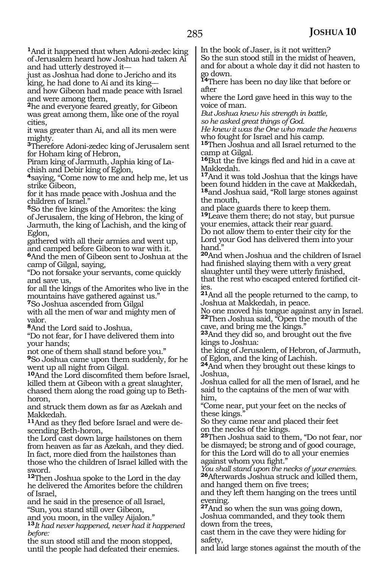**<sup>1</sup>**And it happened that when Adoni-zedec king of Jerusalem heard how Joshua had taken Ai and had utterly destroyed it-

just as Joshua had done to Jericho and its king, he had done to Ai and its king\_\_

and how Gibeon had made peace with Israel and were among them,

**<sup>2</sup>**he and everyone feared greatly, for Gibeon was great among them, like one of the royal cities,

it was greater than Ai, and all its men were mighty.

**<sup>3</sup>**Therefore Adoni-zedec king of Jerusalem sent for Hoham king of Hebron,

Piram king of Jarmuth, Japhia king of Lachish and Debir king of Eglon,

**<sup>4</sup>**saying, "Come now to me and help me, let us strike Gibeon,

for it has made peace with Joshua and the children of Israel."

**<sup>5</sup>**So the five kings of the Amorites: the king of Jerusalem, the king of Hebron, the king of Jarmuth, the king of Lachish, and the king of Eglon,

gathered with all their armies and went up, and camped before Gibeon to war with it.

**<sup>6</sup>**And the men of Gibeon sent to Joshua at the camp of Gilgal, saying,

"Do not forsake your servants, come quickly and save us,

for all the kings of the Amorites who live in the mountains have gathered against us."

**<sup>7</sup>**So Joshua ascended from Gilgal

with all the men of war and mighty men of valor.

**<sup>8</sup>**And the Lord said to Joshua,

"Do not fear, for I have delivered them into your hands;

not one of them shall stand before you."

**<sup>9</sup>**So Joshua came upon them suddenly, for he went up all night from Gilgal.

**<sup>10</sup>**And the Lord discomfited them before Israel, killed them at Gibeon with a great slaughter, chased them along the road going up to Bethhoron,

and struck them down as far as Azekah and Makkedah.

**11**And as they fled before Israel and were descending Beth-horon,

the Lord cast down large hailstones on them from heaven as far as Azekah, and they died. In fact, more died from the hailstones than those who the children of Israel killed with the sword.

**<sup>12</sup>**Then Joshua spoke to the Lord in the day he delivered the Amorites before the children of Israel,

and he said in the presence of all Israel, "Sun, you stand still over Gibeon,

and you moon, in the valley Aijalon."

**<sup>13</sup>***It had never happened, never had it happened before:*

the sun stood still and the moon stopped, until the people had defeated their enemies. In the book of Jaser, is it not written?

So the sun stood still in the midst of heaven, and for about a whole day it did not hasten to go down.

**<sup>14</sup>**There has been no day like that before or after

where the Lord gave heed in this way to the voice of man.

*But Joshua knew his strength in battle, so he asked great things of God.*

*He knew it was the One who made the heavens* who fought for Israel and his camp.

**<sup>15</sup>**Then Joshua and all Israel returned to the camp at Gilgal.

**<sup>16</sup>**But the five kings fled and hid in a cave at Makkedah.

**<sup>17</sup>**And it was told Joshua that the kings have been found hidden in the cave at Makkedah, **<sup>18</sup>**and Joshua said, "Roll large stones against the mouth,

and place guards there to keep them.

**<sup>19</sup>**Leave them there; do not stay, but pursue your enemies, attack their rear guard. Do not allow them to enter their city for the Lord your God has delivered them into your hand."

**<sup>20</sup>**And when Joshua and the children of Israel had finished slaying them with a very great slaughter until they were utterly finished, that the rest who escaped entered fortified cities.

**<sup>21</sup>**And all the people returned to the camp, to Joshua at Makkedah, in peace.

No one moved his tongue against any in Israel. **<sup>22</sup>**Then Joshua said, "Open the mouth of the cave, and bring me the kings."

**<sup>23</sup>**And they did so, and brought out the five kings to Joshua:

the king of Jerusalem, of Hebron, of Jarmuth, of Eglon, and the king of Lachish.

**<sup>24</sup>**And when they brought out these kings to Joshua,

Joshua called for all the men of Israel, and he said to the captains of the men of war with him,

"Come near, put your feet on the necks of these kings."

So they came near and placed their feet on the necks of the kings.

**<sup>25</sup>**Then Joshua said to them, "Do not fear, nor be dismayed; be strong and of good courage, for this the Lord will do to all your enemies against whom you fight."

*You shall stand upon the necks of your enemies.*  **<sup>26</sup>**Afterwards Joshua struck and killed them, and hanged them on five trees;

and they left them hanging on the trees until evening.

**<sup>27</sup>**And so when the sun was going down, Joshua commanded, and they took them down from the trees,

cast them in the cave they were hiding for safety,

and laid large stones against the mouth of the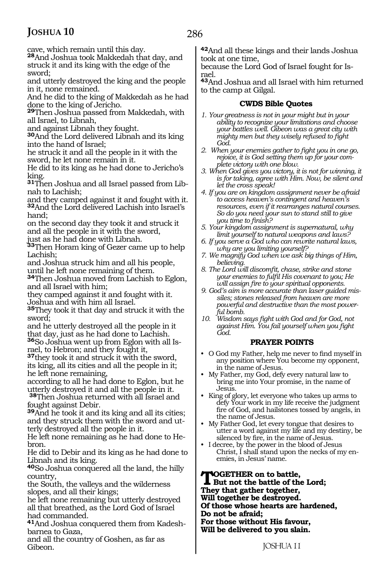cave, which remain until this day.

**<sup>28</sup>**And Joshua took Makkedah that day, and struck it and its king with the edge of the sword;

and utterly destroyed the king and the people in it, none remained.

And he did to the king of Makkedah as he had done to the king of Jericho.

**<sup>29</sup>**Then Joshua passed from Makkedah, with all Israel, to Libnah,

and against Libnah they fought.

**<sup>30</sup>**And the Lord delivered Libnah and its king into the hand of Israel;

he struck it and all the people in it with the sword, he let none remain in it.

He did to its king as he had done to Jericho's king.

**31**Then Joshua and all Israel passed from Libnah to Lachish;

and they camped against it and fought with it. **<sup>32</sup>**And the Lord delivered Lachish into Israel's hand;

on the second day they took it and struck it and all the people in it with the sword,

just as he had done with Libnah.

**<sup>33</sup>**Then Horam king of Gezer came up to help Lachish;

and Joshua struck him and all his people, until he left none remaining of them.

**<sup>34</sup>**Then Joshua moved from Lachish to Eglon, and all Israel with him;

they camped against it and fought with it. Joshua and with him all Israel.

**<sup>35</sup>**They took it that day and struck it with the sword;

and he utterly destroyed all the people in it that day, just as he had done to Lachish. **<sup>36</sup>**So Joshua went up from Eglon with all Is- rael, to Hebron; and they fought it,

**<sup>37</sup>**they took it and struck it with the sword, its king, all its cities and all the people in it; he left none remaining,

according to all he had done to Eglon, but he utterly destroyed it and all the people in it.

**<sup>38</sup>**Then Joshua returned with all Israel and fought against Debir.

**<sup>39</sup>**And he took it and its king and all its cities; and they struck them with the sword and ut- terly destroyed all the people in it.

He left none remaining as he had done to He- bron.

He did to Debir and its king as he had done to Libnah and its king.

**<sup>40</sup>**So Joshua conquered all the land, the hilly country,

the South, the valleys and the wilderness slopes, and all their kings;

he left none remaining but utterly destroyed all that breathed, as the Lord God of Israel had commanded.

**41**And Joshua conquered them from Kadeshbarnea to Gaza,

and all the country of Goshen, as far as Gibeon.

**<sup>42</sup>**And all these kings and their lands Joshua took at one time,

because the Lord God of Israel fought for Israel.

**<sup>43</sup>**And Joshua and all Israel with him returned to the camp at Gilgal.

### **CWDS Bible Quotes**

- *1. Your greatness is not in your might but in your ability to recognize your limitations and choose your battles well. Gibeon was a great city with mighty men but they wisely refused to fight God.*
- *2. When your enemies gather to fight you in one go, rejoice, it is God setting them up for your complete victory with one blow.*
- *3. When God gives you victory, it is not for winning, it is for taking, agree with Him. Now, be silent and let the cross speak!*
- *4. If you are on kingdom assignment never be afraid to access heaven's contingent and heaven's resources, even if it rearranges natural courses. So do you need your sun to stand still to give you time to finish?*
- *5. Your kingdom assignment is supernatural, why limit yourself to natural weapons and laws?*
- *6. If you serve a God who can rewrite natural laws, why are you limiting yourself?*
- *7. We magnify God when we ask big things of Him, believing.*
- *8. The Lord will discomfit, chase, strike and stone your enemies to fulfil His covenant to you; He will assign fire to your spiritual opponents.*
- *9. God's aim is more accurate than laser guided missiles; stones released from heaven are more powerful and destructive than the most powerful bomb.*

*10. Wisdom says fight with God and for God, not against Him. You fail yourself when you fight God.*

### **PRAYER POINTS**

- O God my Father, help me never to find myself in any position where You become my opponent, in the name of Jesus.
- My Father, my God, defy every natural law to bring me into Your promise, in the name of Jesus.
- King of glory, let everyone who takes up arms to defy Your work in my life receive the judgment fire of God, and hailstones tossed by angels, in the name of Jesus.
- My Father God, let every tongue that desires to utter a word against my life and my destiny, be silenced by fire, in the name of Jesus.
- I decree, by the power in the blood of Jesus Christ, I shall stand upon the necks of my enemies, in Jesus' name.

**TOGETHER on to battle,<br>But not the battle of the Lord;**<br>They that gather teachers **They that gather together, Will together be destroyed. Of those whose hearts are hardened, Do not be afraid; For those without His favour, Will be delivered to you slain.**

JOSHUA 11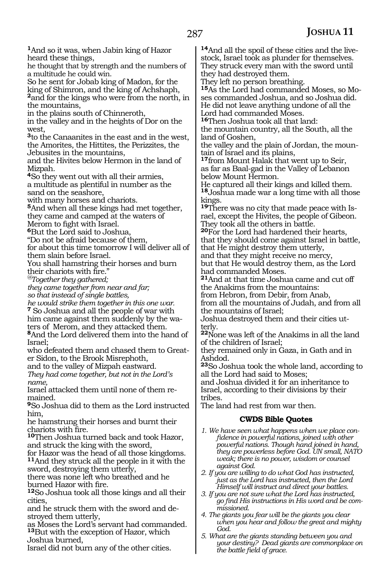**<sup>1</sup>**And so it was, when Jabin king of Hazor heard these things,

he thought that by strength and the numbers of a multitude he could win.

So he sent for Jobab king of Madon, for the king of Shimron, and the king of Achshaph, **<sup>2</sup>**and for the kings who were from the north, in the mountains,

in the plains south of Chinneroth,

in the valley and in the heights of Dor on the west,

**<sup>3</sup>**to the Canaanites in the east and in the west, the Amorites, the Hittites, the Perizzites, the Jebusites in the mountains,

and the Hivites below Hermon in the land of Mizpah.

**<sup>4</sup>**So they went out with all their armies, a multitude as plentiful in number as the sand on the seashore,

with many horses and chariots.

**<sup>5</sup>**And when all these kings had met together, they came and camped at the waters of Merom to fight with Israel.

**<sup>6</sup>**But the Lord said to Joshua,

"Do not be afraid because of them,

for about this time tomorrow I will deliver all of them slain before Israel.

You shall hamstring their horses and burn their chariots with fire."

*@Together they gathered;*

*they came together from near and far; so that instead of single battles,*

*he would strike them together in this one war.* **<sup>7</sup>**So Joshua and all the people of war with him came against them suddenly by the wa- ters of Merom, and they attacked them. **<sup>8</sup>**And the Lord delivered them into the hand of

Israel;

who defeated them and chased them to Great- er Sidon, to the Brook Misrephoth,

and to the valley of Mizpah eastward. *They had come together, but not in the Lord's name,*

Israel attacked them until none of them re- mained.

**<sup>9</sup>**So Joshua did to them as the Lord instructed him,

he hamstrung their horses and burnt their chariots with fire.

**<sup>10</sup>**Then Joshua turned back and took Hazor, and struck the king with the sword,

for Hazor was the head of all those kingdoms. **<sup>11</sup>**And they struck all the people in it with the sword, destroying them utterly,

there was none left who breathed and he burned Hazor with fire.

**<sup>12</sup>**So Joshua took all those kings and all their cities,

and he struck them with the sword and destroyed them utterly,

as Moses the Lord's servant had commanded. **<sup>13</sup>**But with the exception of Hazor, which Joshua burned,

Israel did not burn any of the other cities.

**14**And all the spoil of these cities and the livestock, Israel took as plunder for themselves. They struck every man with the sword until they had destroyed them.

They left no person breathing.

**15**As the Lord had commanded Moses, so Moses commanded Joshua, and so Joshua did. He did not leave anything undone of all the Lord had commanded Moses.

**<sup>16</sup>**Then Joshua took all that land:

the mountain country, all the South, all the land of Goshen,

the valley and the plain of Jordan, the mountain of Israel and its plains,

**<sup>17</sup>**from Mount Halak that went up to Seir, as far as Baal-gad in the Valley of Lebanon below Mount Hermon.

He captured all their kings and killed them. **<sup>18</sup>**Joshua made war a long time with all those kings.

**19**There was no city that made peace with Israel, except the Hivites, the people of Gibeon. They took all the others in battle.

**<sup>20</sup>**For the Lord had hardened their hearts, that they should come against Israel in battle, that He might destroy them utterly,

and that they might receive no mercy,

but that He would destroy them, as the Lord had commanded Moses.

**<sup>21</sup>**And at that time Joshua came and cut off the Anakims from the mountains:

from Hebron, from Debir, from Anab,

from all the mountains of Judah, and from all the mountains of Israel;

Joshua destroyed them and their cities ut- terly.

**<sup>22</sup>**None was left of the Anakims in all the land of the children of Israel;

they remained only in Gaza, in Gath and in Ashdod.

**<sup>23</sup>**So Joshua took the whole land, according to all the Lord had said to Moses;

and Joshua divided it for an inheritance to Israel, according to their divisions by their tribes.

The land had rest from war then.

### **CWDS Bible Quotes**

- *1. We have seen what happens when we place confidence in powerful nations, joined with other powerful nations. Though hand joined in hand, they are powerless before God. UN small, NATO weak; there is no power, wisdom or counsel against God.*
- *2. If you are willing to do what God has instructed, just as the Lord has instructed, then the Lord Himself will instruct and direct your battles.*
- *3. If you are not sure what the Lord has instructed, go find His instructions in His word and be commissioned.*
- *4. The giants you fear will be the giants you clear when you hear and follow the great and mighty God.*
- *5. What are the giants standing between you and your destiny? Dead giants are commonplace on the battle field of grace.*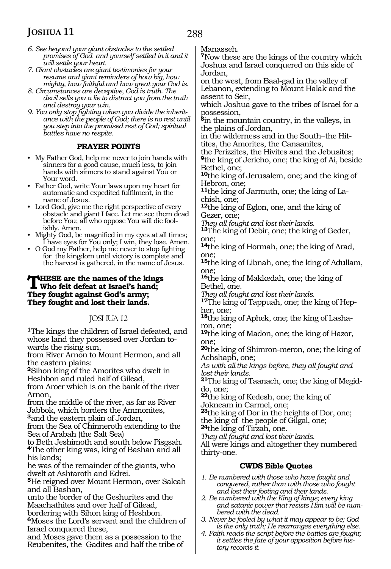- *6. See beyond your giant obstacles to the settled promises of God and yourself settled in it and it will settle your heart.*
- *7. Giant obstacles are giant testimonies for your resume and giant reminders of how big, how mighty, how faithful and how great your God is.*
- *8. Circumstances are deceptive, God is truth. The devil sells you a lie to distract you from the truth and destroy your win.*
- *9. You only stop fighting when you divide the inheritance with the people of God; there is no rest until you step into the promised rest of God; spiritual battles have no respite.*

### **PRAYER POINTS**

- My Father God, help me never to join hands with sinners for a good cause, much less, to join hands with sinners to stand against You or Your word.
- Father God, write Your laws upon my heart for automatic and expedited fulfilment, in the name of Jesus.
- Lord God, give me the right perspective of every obstacle and giant I face. Let me see them dead before You; all who oppose You will die foolishly. Amen.
- Mighty God, be magnified in my eyes at all times; I have eyes for You only; I win, they lose. Amen.
- O God my Father, help me never to stop fighting for the kingdom until victory is complete and the harvest is gathered, in the name of Jesus.

### **THESE** are the names of the kings **Who felt defeat at Israel's hand; They fought against God's army; They fought and lost their lands.**

### JOSHUA 12

**<sup>1</sup>**The kings the children of Israel defeated, and whose land they possessed over Jordan towards the rising sun,

from River Arnon to Mount Hermon, and all the eastern plains:

**<sup>2</sup>**Sihon king of the Amorites who dwelt in Heshbon and ruled half of Gilead,

from Aroer which is on the bank of the river Arnon,

from the middle of the river, as far as River Jabbok, which borders the Ammonites,

**<sup>3</sup>**and the eastern plain of Jordan,

from the Sea of Chinneroth extending to the Sea of Arabah (the Salt Sea)

to Beth Jeshimoth and south below Pisgsah. **<sup>4</sup>**The other king was, king of Bashan and all his lands;

he was of the remainder of the giants, who dwelt at Ashtaroth and Edrei.

**<sup>5</sup>**He reigned over Mount Hermon, over Salcah and all Bashan,

unto the border of the Geshurites and the Maachathites and over half of Gilead,

bordering with Sihon king of Heshbon.

**<sup>6</sup>**Moses the Lord's servant and the children of Israel conquered these,

and Moses gave them as a possession to the Reubenites, the Gadites and half the tribe of Manasseh.

**<sup>7</sup>**Now these are the kings of the country which Joshua and Israel conquered on this side of Jordan,

on the west, from Baal-gad in the valley of Lebanon, extending to Mount Halak and the assent to Seir,

which Joshua gave to the tribes of Israel for a possession,

**<sup>8</sup>**in the mountain country, in the valleys, in the plains of Jordan,

in the wilderness and in the South\_\_the Hittites, the Amorites, the Canaanites,

the Perizzites, the Hivites and the Jebusites; **<sup>9</sup>**the king of Jericho, one; the king of Ai, beside Bethel, one;

**<sup>10</sup>**the king of Jerusalem, one; and the king of Hebron, one;

**11**the king of Jarmuth, one; the king of Lachish, one;

**<sup>12</sup>**the king of Eglon, one, and the king of Gezer, one;

*They all fought and lost their lands.*

**<sup>13</sup>**The king of Debir, one; the king of Geder, one;

**<sup>14</sup>**the king of Hormah, one; the king of Arad, one;

**<sup>15</sup>**the king of Libnah, one; the king of Adullam, one;

**<sup>16</sup>**the king of Makkedah, one; the king of Bethel, one.

*They all fought and lost their lands.*

**17**The king of Tappuah, one; the king of Hepher, one;

18<sub>the king of Aphek, one; the king of Lasha-<br>ron, one;</sub>

**<sup>19</sup>**the king of Madon, one; the king of Hazor, one;

**<sup>20</sup>**the king of Shimron-meron, one; the king of Achshaph, one;

*As with all the kings before, they all fought and lost their lands.*

**21**The king of Taanach, one; the king of Megiddo, one;

**<sup>22</sup>**the king of Kedesh, one; the king of Jokneam in Carmel, one;

**<sup>23</sup>**the king of Dor in the heights of Dor, one; the king of the people of Gilgal, one;

**<sup>24</sup>**the king of Tirzah, one.

*They all fought and lost their lands.*

All were kings and altogether they numbered thirty-one.

### **CWDS Bible Quotes**

*1. Be numbered with those who have fought and conquered, rather than with those who fought and lost their footing and their lands.*

*2. Be numbered with the King of kings; every king and satanic power that resists Him will be numbered with the dead.*

*3. Never be fooled by what it may appear to be; God is the only truth; He rearranges everything else.* 

*4. Faith reads the script before the battles are fought; it settles the fate of your opposition before history records it.*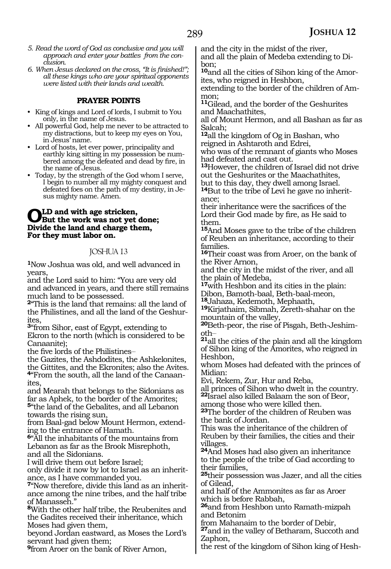- *5. Read the word of God as conclusive and you will approach and enter your battles from the conclusion.*
- *6. When Jesus declared on the cross, "It is finished!"; all these kings who are your spiritual opponents were listed with their lands and wealth.*

### **PRAYER POINTS**

- King of kings and Lord of lords, I submit to You only, in the name of Jesus.
- All powerful God, help me never to be attracted to my distractions, but to keep my eyes on You, in Jesus' name.
- Lord of hosts, let ever power, principality and earthly king sitting in my possession be numbered among the defeated and dead by fire, in the name of Jesus.
- Today, by the strength of the God whom I serve, I begin to number all my mighty conquest and defeated foes on the path of my destiny, in Jesus mighty name. Amen.

### **OLD** and with age stricken,<br>But the work was not yet done;<br>Divide the land and above them **Divide the land and charge them, For they must labor on.**

### JOSHUA 13

**<sup>1</sup>**Now Joshua was old, and well advanced in years,

and the Lord said to him: "You are very old and advanced in years, and there still remains much land to be possessed.

**<sup>2</sup>**"This is the land that remains: all the land of the Philistines, and all the land of the Geshur- ites,

**<sup>3</sup>**"from Sihor, east of Egypt, extending to Ekron to the north (which is considered to be Canaanite);

the five lords of the Philistines-

the Gazites, the Ashdodites, the Ashkelonites, the Gittites, and the Ekronites; also the Avites. **4**"From the south, all the land of the Canaanites,

and Mearah that belongs to the Sidonians as far as Aphek, to the border of the Amorites; **<sup>5</sup>**"the land of the Gebalites, and all Lebanon

towards the rising sun, from Baal-gad below Mount Hermon, extending to the entrance of Hamath.

**<sup>6</sup>**"All the inhabitants of the mountains from Lebanon as far as the Brook Misrephoth, and all the Sidonians.

I will drive them out before Israel;

only divide it now by lot to Israel as an inheritance, as I have commanded you.

**7**"Now therefore, divide this land as an inheritance among the nine tribes, and the half tribe of Manasseh."

**<sup>8</sup>**With the other half tribe, the Reubenites and the Gadites received their inheritance, which Moses had given them,

beyond Jordan eastward, as Moses the Lord's servant had given them;

**<sup>9</sup>**from Aroer on the bank of River Arnon,

and the city in the midst of the river, and all the plain of Medeba extending to Di-

bon; **10**and all the cities of Sihon king of the Amorites, who reigned in Heshbon,

extending to the border of the children of Ammon;

**<sup>11</sup>**Gilead, and the border of the Geshurites and Maachathites,

all of Mount Hermon, and all Bashan as far as Salcah;

**<sup>12</sup>**all the kingdom of Og in Bashan, who reigned in Ashtaroth and Edrei,

who was of the remnant of giants who Moses had defeated and cast out.

**<sup>13</sup>**However, the children of Israel did not drive out the Geshurites or the Maachathites,

but to this day, they dwell among Israel.

**14**But to the tribe of Levi he gave no inheritance;

their inheritance were the sacrifices of the Lord their God made by fire, as He said to them.

**<sup>15</sup>**And Moses gave to the tribe of the children of Reuben an inheritance, according to their families.

**<sup>16</sup>**Their coast was from Aroer, on the bank of the River Arnon,

and the city in the midst of the river, and all the plain of Medeba,

**<sup>17</sup>**with Heshbon and its cities in the plain:

Dibon, Bamoth-baal, Beth-baal-meon,<br><sup>18</sup>Jahaza, Kedemoth, Mephaath,

**19**Kirjathaim, Sibmah, Zereth-shahar on the mountain of the valley,

**<sup>20</sup>**Beth-peor, the rise of Pisgah, Beth-Jeshim- oth\_\_

**<sup>21</sup>**all the cities of the plain and all the kingdom of Sihon king of the Amorites, who reigned in Heshbon,

whom Moses had defeated with the princes of Midian:

Evi, Rekem, Zur, Hur and Reba,

all princes of Sihon who dwelt in the country. **<sup>22</sup>**Israel also killed Balaam the son of Beor,

among those who were killed then.

**<sup>23</sup>**The border of the children of Reuben was the bank of Jordan.

This was the inheritance of the children of Reuben by their families, the cities and their villages.

**<sup>24</sup>**And Moses had also given an inheritance to the people of the tribe of Gad according to their families,

**<sup>25</sup>**their possession was Jazer, and all the cities of Gilead,

and half of the Ammonites as far as Aroer which is before Rabbah,

**<sup>26</sup>**and from Heshbon unto Ramath-mizpah and Betonim

from Mahanaim to the border of Debir,

**<sup>27</sup>**and in the valley of Betharam, Succoth and Zaphon,

the rest of the kingdom of Sihon king of Hesh-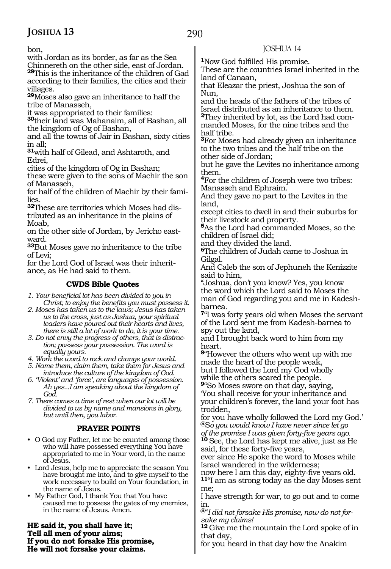bon,

with Jordan as its border, as far as the Sea

Chinnereth on the other side, east of Jordan. **<sup>28</sup>**This is the inheritance of the children of Gad according to their families, the cities and their villages.

**<sup>29</sup>**Moses also gave an inheritance to half the tribe of Manasseh,

it was appropriated to their families:

**<sup>30</sup>**their land was Mahanaim, all of Bashan, all the kingdom of Og of Bashan,

and all the towns of Jair in Bashan, sixty cities in all;

**<sup>31</sup>**with half of Gilead, and Ashtaroth, and Edrei,

cities of the kingdom of Og in Bashan;

these were given to the sons of Machir the son of Manasseh,

for half of the children of Machir by their families.

**32**These are territories which Moses had distributed as an inheritance in the plains of Moab,

on the other side of Jordan, by Jericho eastward.

**<sup>33</sup>**But Moses gave no inheritance to the tribe of Levi;

for the Lord God of Israel was their inheritance, as He had said to them.

### **CWDS Bible Quotes**

- *1. Your beneficial lot has been divided to you in Christ; to enjoy the benefits you must possess it.*
- *2. Moses has taken us to the laws; Jesus has taken us to the cross, just as Joshua, your spiritual leaders have poured out their hearts and lives, there is still a lot of work to do, it is your time.*
- *3. Do not envy the progress of others, that is distraction; possess your possession. The word is equally yours.*

*4. Work the word to rock and change your world.*

*5. Name them, claim them, take them for Jesus and introduce the culture of the kingdom of God.* 

- *6. 'Violent' and 'force', are languages of possession. Ah yes...I am speaking about the kingdom of God.*
- *7. There comes a time of rest when our lot will be divided to us by name and mansions in glory, but until then, you labor.*

### **PRAYER POINTS**

- O God my Father, let me be counted among those who will have possessed everything You have appropriated to me in Your word, in the name of Jesus.
- Lord Jesus, help me to appreciate the season You have brought me into, and to give myself to the work necessary to build on Your foundation, in the name of Jesus.
- My Father God, I thank You that You have caused me to possess the gates of my enemies, in the name of Jesus. Amen.

**He said it, you shall have it; Tell all men of your aims; If you do not forsake His promise, He will not forsake your claims.**

### JOSHUA 14

**<sup>1</sup>**Now God fulfilled His promise.

These are the countries Israel inherited in the land of Canaan,

that Eleazar the priest, Joshua the son of Nun,

and the heads of the fathers of the tribes of Israel distributed as an inheritance to them. **2**They inherited by lot, as the Lord had commanded Moses, for the nine tribes and the half tribe.

**<sup>3</sup>**For Moses had already given an inheritance to the two tribes and the half tribe on the other side of Jordan;

but he gave the Levites no inheritance among them.

**<sup>4</sup>**For the children of Joseph were two tribes: Manasseh and Ephraim.

And they gave no part to the Levites in the land,

except cities to dwell in and their suburbs for their livestock and property.

**<sup>5</sup>**As the Lord had commanded Moses, so the children of Israel did;

and they divided the land.

**<sup>6</sup>**The children of Judah came to Joshua in Gilgal.

And Caleb the son of Jephuneh the Kenizzite said to him,

"Joshua, don't you know? Yes, you know the word which the Lord said to Moses the man of God regarding you and me in Kadeshbarnea.

**<sup>7</sup>**"I was forty years old when Moses the servant of the Lord sent me from Kadesh-barnea to spy out the land,

and I brought back word to him from my heart.

**<sup>8</sup>**"However the others who went up with me made the heart of the people weak, but I followed the Lord my God wholly while the others scared the people.

**<sup>9</sup>**"So Moses swore on that day, saying, 'You shall receive for your inheritance and your children's forever, the land your foot has trodden,

for you have wholly followed the Lord my God.' **@**S*o you would know I have never since let go*

*of the promise I was given forty-five years ago.* **<sup>10</sup>**See, the Lord has kept me alive, just as He said, for these forty-five years,

ever since He spoke the word to Moses while Israel wandered in the wilderness;

now here I am this day, eighty-five years old. **<sup>11</sup>**"I am as strong today as the day Moses sent me;

I have strength for war, to go out and to come in.

**@**"*I did not forsake His promise, now do not forsake my claims!*

**<sup>12</sup>**Give me the mountain the Lord spoke of in that day,

for you heard in that day how the Anakim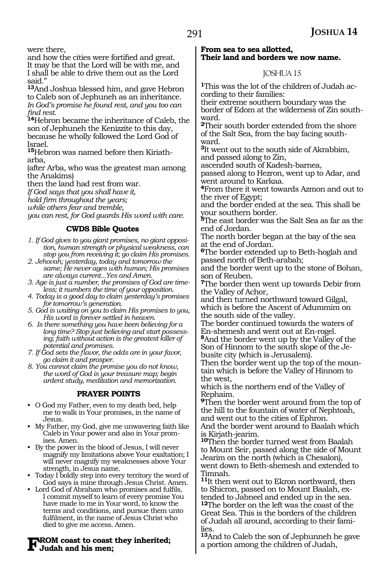were there,

and how the cities were fortified and great. It may be that the Lord will be with me, and I shall be able to drive them out as the Lord said."

**<sup>13</sup>**And Joshua blessed him, and gave Hebron to Caleb son of Jephuneh as an inheritance. *In God's promise he found rest, and you too can find rest.*

**<sup>14</sup>**Hebron became the inheritance of Caleb, the son of Jephuneh the Kenizzite to this day, because he wholly followed the Lord God of Israel.

**15**Hebron was named before then Kiriatharba,

(after Arba, who was the greatest man among the Anakims)

then the land had rest from war.

*If God says that you shall have it,*

*hold firm throughout the years;*

*while others fear and tremble,*

*you can rest, for God guards His word with care.*

### **CWDS Bible Quotes**

- *1. If God gives to you giant promises, no giant opposition, human strength or physical weakness, can stop you from receiving it; go claim His promises.*
- *2. Jehovah; yesterday, today and tomorrow the same; He never ages with human; His promises are always current...Yes and Amen.*
- *3. Age is just a number, the promises of God are timeless; it numbers the time of your opposition.*
- *4. Today is a good day to claim yesterday's promises for tomorrow's generation.*
- *5. God is waiting on you to claim His promises to you, His word is forever settled in heaven.*
- *6. Is there something you have been believing for a long time? Stop just believing and start possessing; faith without action is the greatest killer of potential and promises.*
- *7. If God sets the flavor, the odds are in your favor, go claim it and prosper.*
- *8. You cannot claim the promise you do not know, the word of God is your treasure map; begin ardent study, meditation and memorization.*

### **PRAYER POINTS**

- O God my Father, even to my death bed, help me to walk in Your promises, in the name of Jesus.
- My Father, my God, give me unwavering faith like Caleb in Your power and also in Your promises. Amen.
- By the power in the blood of Jesus, I will never magnify my limitations above Your exaltation; I will never magnify my weaknesses above Your strength, in Jesus name.
- Today I boldly step into every territory the word of God says is mine through Jesus Christ. Amen.
- Lord God of Abraham who promises and fulfils, I commit myself to learn of every promise You have made to me in Your word, to know the terms and conditions, and pursue them unto fulfilment, in the name of Jesus Christ who died to give me access. Amen.

# **From coast to coast they inherited; Judah and his men;**

### **From sea to sea allotted, Their land and borders we now name.**

### JOSHUA 15

**1**This was the lot of the children of Judah according to their families:

their extreme southern boundary was the border of Edom at the wilderness of Zin southward.

**<sup>2</sup>**Their south border extended from the shore of the Salt Sea, from the bay facing southward.

**<sup>3</sup>**It went out to the south side of Akrabbim, and passed along to Zin,

ascended south of Kadesh-barnea,

passed along to Hezron, went up to Adar, and went around to Karkaa.

**<sup>4</sup>**From there it went towards Azmon and out to the river of Egypt;

and the border ended at the sea. This shall be your southern border.

**<sup>5</sup>**The east border was the Salt Sea as far as the end of Jordan.

The north border began at the bay of the sea at the end of Jordan.

**<sup>6</sup>**The border extended up to Beth-hoglah and passed north of Beth-arabah;

and the border went up to the stone of Bohan, son of Reuben.

**<sup>7</sup>**The border then went up towards Debir from the Valley of Achor,

and then turned northward toward Gilgal, which is before the Ascent of Adummim on the south side of the valley.

The border continued towards the waters of En-shemesh and went out at En-rogel. **<sup>8</sup>**And the border went up by the Valley of the Son of Hinnom to the south slope of the Je-

busite city (which is Jerusalem). Then the border went up the top of the mountain which is before the Valley of Hinnom to the west,

which is the northern end of the Valley of Rephaim.

**<sup>9</sup>**Then the border went around from the top of the hill to the fountain of water of Nephtoah, and went out to the cities of Ephron. And the border went around to Baalah which is Kirjath-jearim.

**<sup>10</sup>**Then the border turned west from Baalah to Mount Seir, passed along the side of Mount Jearim on the north (which is Chesalon), went down to Beth-shemesh and extended to Timnah.

**<sup>11</sup>**It then went out to Ekron northward, then to Shicron, passed on to Mount Baalah, extended to Jabneel and ended up in the sea. **<sup>12</sup>**The border on the left was the coast of the Great Sea. This is the borders of the children of Judah all around, according to their families.

**<sup>13</sup>**And to Caleb the son of Jephunneh he gave a portion among the children of Judah,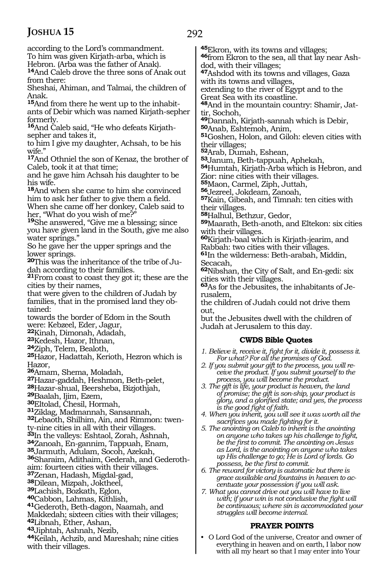292

according to the Lord's commandment. To him was given Kirjath-arba, which is Hebron. (Arba was the father of Anak). **<sup>14</sup>**And Caleb drove the three sons of Anak out from there: Sheshai, Ahiman, and Talmai, the children of Anak. **15**And from there he went up to the inhabitants of Debir which was named Kirjath-sepher formerly. **16**And Caleb said, "He who defeats Kirjathsepher and takes it, to him I give my daughter, Achsah, to be his wife." **<sup>17</sup>**And Othniel the son of Kenaz, the brother of Caleb, took it at that time; and he gave him Achsah his daughter to be his wife. **<sup>18</sup>**And when she came to him she convinced him to ask her father to give them a field. When she came off her donkey, Caleb said to her, "What do you wish of me?" **<sup>19</sup>**She answered, "Give me a blessing; since you have given land in the South, give me also water springs." So he gave her the upper springs and the lower springs. **20**This was the inheritance of the tribe of Judah according to their families. **<sup>21</sup>**From coast to coast they got it; these are the cities by their names, that were given to the children of Judah by families, that in the promised land they obtained: towards the border of Edom in the South were: Kebzeel, Eder, Jagur, **<sup>22</sup>**Kinah, Dimonah, Adadah, **<sup>23</sup>**Kedesh, Hazor, Ithnan, **25**Hazor, Hadattah, Kerioth, Hezron which is Hazor, **<sup>26</sup>**Amam, Shema, Moladah, **28**Hazar-shual, Beersheba, Bizjothjah,<br>**29**Baalah, Ijim, Ezem,<br>**30**Eltolad, Chesil, Hormah,<br>**31**Ziklag, Madmannah, Sansannah, **32**Lebaoth, Shilhim, Ain, and Rimmon: twenty-nine cities in all with their villages. **<sup>33</sup>**In the valleys: Eshtaol, Zorah, Ashnah, **<sup>34</sup>**Zanoah, En-gannim, Tappuah, Enam, **<sup>35</sup>**Jarmuth, Adulam, Socoh, Azekah, **36**Sharaim, Adithaim, Gederah, and Gederothaim: fourteen cities with their villages.<br><sup>37</sup>Zenan, Hadash, Migdal-gad, **38**Dilean, Mizpah, Joktheel,<br>**39**Lachish, Bozkath, Eglon, **40**Cabbon, Lahmas, Kithlish, **41**Gederoth, Beth-dagon, Naamah, and Makkedah; sixteen cities with their villages; **<sup>42</sup>**Libnah, Ether, Ashan, 44Keilah, Achzib, and Mareshah; nine cities with their villages. tir, Sochoh, their villages; **<sup>52</sup>**Arab, Dumah, Eshean, **<sup>55</sup>**Maon, Carmel, Ziph, Juttah, **<sup>56</sup>**Jezreel, Jokdeam, Zanoah, their villages. with their villages. Secacah, rusalem, out,

**<sup>45</sup>**Ekron, with its towns and villages; **46**from Ekron to the sea, all that lay near Ash-

dod, with their villages;

**<sup>47</sup>**Ashdod with its towns and villages, Gaza with its towns and villages,

extending to the river of Egypt and to the Great Sea with its coastline.

**48**And in the mountain country: Shamir, Jat-

**<sup>49</sup>**Dannah, Kirjath-sannah which is Debir, **<sup>50</sup>**Anab, Eshtemoh, Anim,

**<sup>51</sup>**Goshen, Holon, and Giloh: eleven cities with

54Humtah, Kirjath-Arba which is Hebron, and Zior: nine cities with their villages.

**<sup>57</sup>**Kain, Gibeah, and Timnah: ten cities with

**<sup>58</sup>**Halhul, Bethzur, Gedor,

**<sup>59</sup>**Maarath, Beth-anoth, and Eltekon: six cities

**<sup>60</sup>**Kirjath-baal which is Kirjath-jearim, and Rabbah: two cities with their villages.

**<sup>61</sup>**In the wilderness: Beth-arabah, Middin,

**<sup>62</sup>**Nibshan, the City of Salt, and En-gedi: six cities with their villages.

**63**As for the Jebusites, the inhabitants of Je-

the children of Judah could not drive them

but the Jebusites dwell with the children of Judah at Jerusalem to this day.

### **CWDS Bible Quotes**

*1. Believe it, receive it, fight for it, divide it, possess it. For what? For all the promises of God.*

*2. If you submit your gift to the process, you will receive the product. If you submit yourself to the process, you will become the product.*

*3. The gift is life, your product is heaven, the land of promise; the gift is son-ship, your product is glory, and a glorified state; and yes, the process is the good fight of faith.*

*4. When you inherit, you will see it was worth all the sacrifices you made fighting for it.*

*5. The anointing on Caleb to inherit is the anointing on anyone who takes up his challenge to fight, be the first to commit. The anointing on Jesus as Lord, is the anointing on anyone who takes up His challenge to go; He is Lord of lords. Go possess, be the first to commit.* 

*6. The reward for victory is automatic but there is grace available and fountains in heaven to accentuate your possession if you will ask.*

*7. What you cannot drive out you will have to live with; if your win is not conclusive the fight will be continuous; where sin is accommodated your struggles will become internal.*

### **PRAYER POINTS**

• O Lord God of the universe, Creator and owner of everything in heaven and on earth, I labor now with all my heart so that I may enter into Your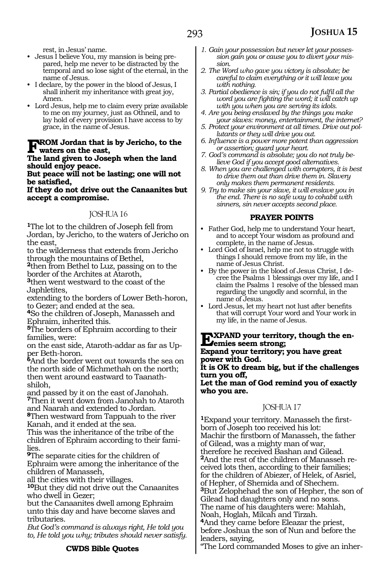rest, in Jesus' name.

- Jesus I believe You, my mansion is being prepared, help me never to be distracted by the temporal and so lose sight of the eternal, in the name of Jesus.
- I declare, by the power in the blood of Jesus, I shall inherit my inheritance with great joy, Amen.
- Lord Jesus, help me to claim every prize available to me on my journey, just as Othneil, and to lay hold of every provision I have access to by grace, in the name of Jesus.

## **FROM Jordan that is by Jericho, to the**<br>waters on the east,<br>The land given to Jacoph when the land

### **The land given to Joseph when the land should enjoy peace.**

**But peace will not be lasting; one will not be satisfied,**

#### **If they do not drive out the Canaanites but accept a compromise.**

### JOSHUA 16

**<sup>1</sup>**The lot to the children of Joseph fell from Jordan, by Jericho, to the waters of Jericho on the east,

to the wilderness that extends from Jericho through the mountains of Bethel,

**<sup>2</sup>**then from Bethel to Luz, passing on to the border of the Archites at Ataroth,

**<sup>3</sup>**then went westward to the coast of the Japhletites,

extending to the borders of Lower Beth-horon, to Gezer; and ended at the sea.

**<sup>4</sup>**So the children of Joseph, Manasseh and Ephraim, inherited this.

**<sup>5</sup>**The borders of Ephraim according to their families, were:

on the east side, Ataroth-addar as far as Upper Beth-horon.

**<sup>6</sup>**And the border went out towards the sea on the north side of Michmethah on the north; then went around eastward to Taanathshiloh,

and passed by it on the east of Janohah. **<sup>7</sup>**Then it went down from Janohah to Ataroth and Naarah and extended to Jordan.

**<sup>8</sup>**Then westward from Tappuah to the river Kanah, and it ended at the sea.

This was the inheritance of the tribe of the children of Ephraim according to their families.

**<sup>9</sup>**The separate cities for the children of Ephraim were among the inheritance of the children of Manasseh,

all the cities with their villages.

**<sup>10</sup>**But they did not drive out the Canaanites who dwell in Gezer;

but the Canaanites dwell among Ephraim unto this day and have become slaves and tributaries.

*But God's command is always right, He told you to, He told you why; tributes should never satisfy.*

### **CWDS Bible Quotes**

- *1. Gain your possession but never let your possession gain you or cause you to divert your mission.*
- *2. The Word who gave you victory is absolute; be careful to claim everything or it will leave you with nothing.*
- *3. Partial obedience is sin; if you do not fulfil all the word you are fighting the word; it will catch up with you when you are serving its idols.*
- *4. Are you being enslaved by the things you make your slaves: money, entertainment, the internet?*
- *5. Protect your environment at all times. Drive out pollutants or they will drive you out.*
- *6. Influence is a power more potent than aggression or assertion; guard your heart.*
- *7. God's command is absolute; you do not truly believe God if you accept good alternatives.*
- *8. When you are challenged with corrupters, it is best to drive them out than drive them in. Slavery only makes them permanent residents.*
- *9. Try to make sin your slave, it will enslave you in the end. There is no safe way to cohabit with sinners, sin never accepts second place.*

### **PRAYER POINTS**

- Father God, help me to understand Your heart, and to accept Your wisdom as profound and complete, in the name of Jesus.
- Lord God of Israel, help me not to struggle with things I should remove from my life, in the name of Jesus Christ.
- By the power in the blood of Jesus Christ, I decree the Psalms 1 blessings over my life, and I claim the Psalms 1 resolve of the blessed man regarding the ungodly and scornful, in the name of Jesus.
- Lord Jesus, let my heart not lust after benefits that will corrupt Your word and Your work in my life, in the name of Jesus.

**EXPAND your territory, though the en-**<br> **Expand your territory** results great **Expand your territory; you have great power with God. It is OK to dream big, but if the challenges turn you off, Let the man of God remind you of exactly who you are.**

### JOSHUA 17

**1**Expand your territory. Manasseh the firstborn of Joseph too received his lot: Machir the firstborn of Manasseh, the father of Gilead, was a mighty man of war, therefore he received Bashan and Gilead. **2**And the rest of the children of Manasseh received lots then, according to their families; for the children of Abiezer, of Helek, of Asriel, of Hepher, of Shemida and of Shechem. **<sup>3</sup>**But Zelophehad the son of Hepher, the son of Gilead had daughters only and no sons. The name of his daughters were: Mahlah, Noah, Hoglah, Milcah and Tirzah. **<sup>4</sup>**And they came before Eleazar the priest,

before Joshua the son of Nun and before the leaders, saying,

"The Lord commanded Moses to give an inher-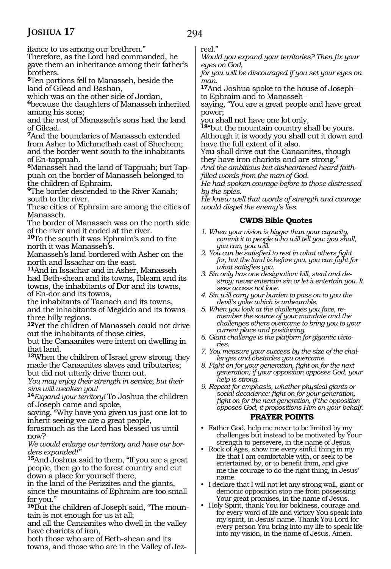294

itance to us among our brethren."

Therefore, as the Lord had commanded, he gave them an inheritance among their father's brothers.

**<sup>5</sup>**Ten portions fell to Manasseh, beside the land of Gilead and Bashan,

which was on the other side of Jordan,

**<sup>6</sup>**because the daughters of Manasseh inherited among his sons;

and the rest of Manasseh's sons had the land of Gilead.

**<sup>7</sup>**And the boundaries of Manasseh extended from Asher to Michmethah east of Shechem; and the border went south to the inhabitants of En-tappuah.

**8**Manasseh had the land of Tappuah; but Tappuah on the border of Manasseh belonged to the children of Ephraim.

**<sup>9</sup>**The border descended to the River Kanah; south to the river.

These cities of Ephraim are among the cities of Manasseh.

The border of Manasseh was on the north side of the river and it ended at the river.

**<sup>10</sup>**To the south it was Ephraim's and to the north it was Manasseh's.

Manasseh's land bordered with Asher on the north and Issachar on the east.

**<sup>11</sup>**And in Issachar and in Asher, Manasseh had Beth-shean and its towns, Ibleam and its towns, the inhabitants of Dor and its towns, of En-dor and its towns,

the inhabitants of Taanach and its towns, and the inhabitants of Megiddo and its towns\_\_ three hilly regions.

**<sup>12</sup>**Yet the children of Manasseh could not drive out the inhabitants of those cities,

but the Canaanites were intent on dwelling in that land.

**<sup>13</sup>**When the children of Israel grew strong, they made the Canaanites slaves and tributaries; but did not utterly drive them out.

*You may enjoy their strength in service, but their sins will weaken you!*

**<sup>14</sup>***Expand your territory!* To Joshua the children of Joseph came and spoke,

saying, "Why have you given us just one lot to inherit seeing we are a great people,

forasmuch as the Lord has blessed us until now?

*We would enlarge our territory and have our borders expanded!"*

**<sup>15</sup>**And Joshua said to them, "If you are a great people, then go to the forest country and cut down a place for yourself there,

in the land of the Perizzites and the giants, since the mountains of Ephraim are too small for you."

**<sup>16</sup>**But the children of Joseph said, "The moun- tain is not enough for us at all;

and all the Canaanites who dwell in the valley have chariots of iron,

both those who are of Beth-shean and its towns, and those who are in the Valley of Jezreel."

*Would you expand your territories? Then fix your eyes on God,*

*for you will be discouraged if you set your eyes on man.* 

**<sup>17</sup>**And Joshua spoke to the house of Joseph\_\_ to Ephraim and to Manasseh-

saying, "You are a great people and have great power;

you shall not have one lot only,

**<sup>18</sup>**"but the mountain country shall be yours. Although it is woody you shall cut it down and have the full extent of it also.

You shall drive out the Canaanites, though they have iron chariots and are strong."

*And the ambitious but disheartened heard faithfilled words from the man of God.*

*He had spoken courage before to those distressed by the spies.*

*He knew well that words of strength and courage would dispel the enemy's lies.*

### **CWDS Bible Quotes**

- *1. When your vision is bigger than your capacity, commit it to people who will tell you: you shall, you can, you will.*
- *2. You can be satisfied to rest in what others fight for, but the land is before you, you can fight for what satisfies you.*
- *3. Sin only has one designation: kill, steal and destroy; never entertain sin or let it entertain you. It sees access not love.*
- *4. Sin will carry your burden to pass on to you the devil's yoke which is unbearable.*
- *5. When you look at the challenges you face, remember the source of your mandate and the challenges others overcame to bring you to your current place and positioning.*
- *6. Giant challenge is the platform for gigantic victories.*
- *7. You measure your success by the size of the challenges and obstacles you overcame.*
- *8. Fight on for your generation, fight on for the next generation; if your opposition opposes God, your help is strong.*

*9. Repeat for emphasis, whether physical giants or social decadence: fight on for your generation, fight on for the next generation, if the opposition opposes God, it propositions Him on your behalf.*

### **PRAYER POINTS**

• Father God, help me never to be limited by my challenges but instead to be motivated by Your strength to persevere, in the name of Jesus.

- Rock of Ages, show me every sinful thing in my life that I am comfortable with, or seek to be entertained by, or to benefit from, and give me the courage to do the right thing, in Jesus' name.
- I declare that I will not let any strong wall, giant or demonic opposition stop me from possessing Your great promises, in the name of Jesus.
- Holy Spirit, thank You for boldness, courage and for every word of life and victory You speak into my spirit, in Jesus' name. Thank You Lord for every person You bring into my life to speak life into my vision, in the name of Jesus. Amen.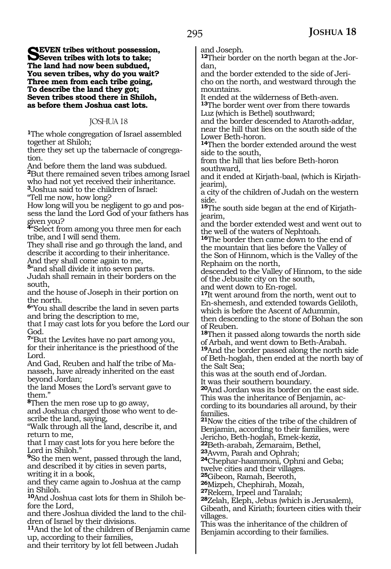SEVEN tribes without possession,<br>
Seven tribes with lots to take;<br>
The land had now have unlained **The land had now been subdued, You seven tribes, why do you wait? Three men from each tribe going, To describe the land they got; Seven tribes stood there in Shiloh, as before them Joshua cast lots.**

### JOSHUA 18

**<sup>1</sup>**The whole congregation of Israel assembled together at Shiloh;

there they set up the tabernacle of congregation.

And before them the land was subdued.

**<sup>2</sup>**But there remained seven tribes among Israel who had not yet received their inheritance.

**<sup>3</sup>**Joshua said to the children of Israel:

"Tell me now, how long?

How long will you be negligent to go and possess the land the Lord God of your fathers has given you?

**<sup>4</sup>**"Select from among you three men for each tribe, and I will send them.

They shall rise and go through the land, and describe it according to their inheritance. And they shall come again to me,

**<sup>5</sup>**"and shall divide it into seven parts.

Judah shall remain in their borders on the south,

and the house of Joseph in their portion on the north.

**<sup>6</sup>**"You shall describe the land in seven parts and bring the description to me,

that I may cast lots for you before the Lord our God.

**<sup>7</sup>**"But the Levites have no part among you, for their inheritance is the priesthood of the Lord.

And Gad, Reuben and half the tribe of Manasseh, have already inherited on the east beyond Jordan;

the land Moses the Lord's servant gave to them."

**<sup>8</sup>**Then the men rose up to go away, and Joshua charged those who went to de- scribe the land, saying,

"Walk through all the land, describe it, and return to me,

that I may cast lots for you here before the Lord in Shiloh."

**<sup>9</sup>**So the men went, passed through the land, and described it by cities in seven parts, writing it in a book,

and they came again to Joshua at the camp in Shiloh.

**10**And Joshua cast lots for them in Shiloh before the Lord,

and there Joshua divided the land to the chil- dren of Israel by their divisions.

**<sup>11</sup>**And the lot of the children of Benjamin came up, according to their families,

and their territory by lot fell between Judah

and Joseph.

**12**Their border on the north began at the Jordan,

and the border extended to the side of Jericho on the north, and westward through the mountains.

It ended at the wilderness of Beth-aven. **<sup>13</sup>**The border went over from there towards Luz (which is Bethel) southward;

and the border descended to Ataroth-addar, near the hill that lies on the south side of the Lower Beth-horon.

**<sup>14</sup>**Then the border extended around the west side to the south,

from the hill that lies before Beth-horon southward,

and it ended at Kirjath-baal, (which is Kirjathjearim),

a city of the children of Judah on the western side.

**15**The south side began at the end of Kirjathjearim,

and the border extended west and went out to the well of the waters of Nephtoah.

**<sup>16</sup>**The border then came down to the end of the mountain that lies before the Valley of the Son of Hinnom, which is the Valley of the Rephaim on the north,

descended to the Valley of Hinnom, to the side of the Jebusite city on the south,

and went down to En-rogel.

**<sup>17</sup>**It went around from the north, went out to En-shemesh, and extended towards Geliloth, which is before the Ascent of Adummin, then descending to the stone of Bohan the son of Reuben.

**<sup>18</sup>**Then it passed along towards the north side of Arbah, and went down to Beth-Arabah.

**<sup>19</sup>**And the border passed along the north side of Beth-hoglah, then ended at the north bay of the Salt Sea;

this was at the south end of Jordan.

It was their southern boundary.

**<sup>20</sup>**And Jordan was its border on the east side. This was the inheritance of Benjamin, ac-

cording to its boundaries all around, by their families.

**<sup>21</sup>**Now the cities of the tribe of the children of Benjamin, according to their families, were Jericho, Beth-hoglah, Emek-keziz,

**<sup>22</sup>**Beth-arabah, Zemaraim, Bethel,

**<sup>23</sup>**Avvm, Parah and Ophrah; **<sup>24</sup>**Chephar-haammoni, Ophni and Geba; twelve cities and their villages.

**<sup>25</sup>**Gibeon, Ramah, Beeroth,

**<sup>26</sup>**Mizpeh, Chephirah, Mozah, **<sup>27</sup>**Rekem, Irpeel and Taralah; **<sup>28</sup>**Zelah, Eleph, Jebus (which is Jerusalem),

Gibeath, and Kiriath; fourteen cities with their villages.

This was the inheritance of the children of Benjamin according to their families.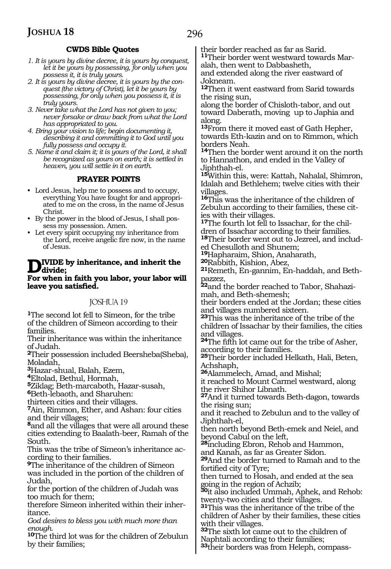### **CWDS Bible Quotes**

- *1. It is yours by divine decree, it is yours by conquest, let it be yours by possessing, for only when you possess it, it is truly yours.*
- *2. It is yours by divine decree, it is yours by the conquest (the victory of Christ), let it be yours by possessing, for only when you possess it, it is truly yours.*
- *3. Never take what the Lord has not given to you; never forsake or draw back from what the Lord has appropriated to you.*
- *4. Bring your vision to life; begin documenting it, describing it and committing it to God until you fully possess and occupy it.*
- *5. Name it and claim it; it is yours of the Lord, it shall be recognized as yours on earth; it is settled in heaven, you will settle in it on earth.*

### **PRAYER POINTS**

- Lord Jesus, help me to possess and to occupy, everything You have fought for and appropriated to me on the cross, in the name of Jesus Christ.
- By the power in the blood of Jesus, I shall possess my possession. Amen.
- Let every spirit occupying my inheritance from the Lord, receive angelic fire now, in the name of Jesus.

### **Divide by inheritance, and inherit the divide;**

**For when in faith you labor, your labor will leave you satisfied.**

### JOSHUA 19

**<sup>1</sup>**The second lot fell to Simeon, for the tribe of the children of Simeon according to their families.

Their inheritance was within the inheritance of Judah.

**<sup>2</sup>**Their possession included Beersheba(Sheba), Moladah,

**<sup>3</sup>**Hazar-shual, Balah, Ezem,

**<sup>4</sup>**Eltolad, Bethul, Hormah,

**<sup>5</sup>**Ziklag; Beth-marcaboth, Hazar-susah,

**<sup>6</sup>**Beth-lebaoth, and Sharuhen:

thirteen cities and their villages.

**<sup>7</sup>**Ain, Rimmon, Ether, and Ashan: four cities and their villages;

**<sup>8</sup>**and all the villages that were all around these cities extending to Baalath-beer, Ramah of the South.

This was the tribe of Simeon's inheritance ac- cording to their families.

**<sup>9</sup>**The inheritance of the children of Simeon was included in the portion of the children of Judah,

for the portion of the children of Judah was too much for them;

therefore Simeon inherited within their inheritance.

*God desires to bless you with much more than enough.*

**<sup>10</sup>**The third lot was for the children of Zebulun by their families;

their border reached as far as Sarid. **11**Their border went westward towards Mar-

alah, then went to Dabbasheth,

and extended along the river eastward of Jokneam.

**<sup>12</sup>**Then it went eastward from Sarid towards the rising sun,

along the border of Chisloth-tabor, and out toward Daberath, moving up to Japhia and along.

**<sup>13</sup>**From there it moved east of Gath Hepher, towards Eth-kazin and on to Rimmon, which borders Neah.

**<sup>14</sup>**Then the border went around it on the north to Hannathon, and ended in the Valley of Jiphthah-el.

**<sup>15</sup>**Within this, were: Kattah, Nahalal, Shimron, Idalah and Bethlehem; twelve cities with their villages.

**<sup>16</sup>**This was the inheritance of the children of Zebulun according to their families, these cities with their villages.

**17**The fourth lot fell to Issachar, for the children of Issachar according to their families. **18**Their border went out to Jezreel, and includ-

ed Chesulloth and Shunem;

**<sup>19</sup>**Hapharaim, Shion, Anaharath, **<sup>20</sup>**Rabbith, Kishion, Abez,

**21**Remeth, En-gannim, En-haddah, and Bethpazzez,

**22**and the border reached to Tabor, Shahazimah, and Beth-shemesh;

their borders ended at the Jordan; these cities and villages numbered sixteen.

**<sup>23</sup>**This was the inheritance of the tribe of the children of Issachar by their families, the cities and villages.

**<sup>24</sup>**The fifth lot came out for the tribe of Asher, according to their families.

**<sup>25</sup>**Their border included Helkath, Hali, Beten, Achshaph,

**<sup>26</sup>**Alammelech, Amad, and Mishal;

it reached to Mount Carmel westward, along the river Shihor Libnath.

**<sup>27</sup>**And it turned towards Beth-dagon, towards the rising sun;

and it reached to Zebulun and to the valley of Jiphthah-el,

then north beyond Beth-emek and Neiel, and beyond Cabul on the left,

**<sup>28</sup>**including Ebron, Rehob and Hammon, and Kanah, as far as Greater Sidon.

**<sup>29</sup>**And the border turned to Ramah and to the fortified city of Tyre;

then turned to Hosah, and ended at the sea going in the region of Achzib;

**<sup>30</sup>**it also included Ummah, Aphek, and Rehob: twenty-two cities and their villages.

**<sup>31</sup>**This was the inheritance of the tribe of the children of Asher by their families, these cities with their villages.

**<sup>32</sup>**The sixth lot came out to the children of Naphtali according to their families;

**33**their borders was from Heleph, compass-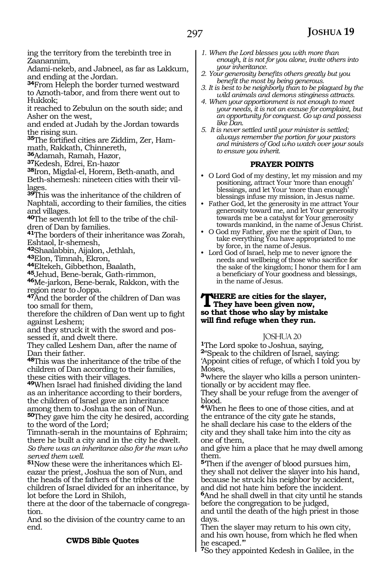ing the territory from the terebinth tree in Zaanannim,

Adami-nekeb, and Jabneel, as far as Lakkum, and ending at the Jordan.

**<sup>34</sup>**From Heleph the border turned westward to Aznoth-tabor, and from there went out to Hukkok;

it reached to Zebulun on the south side; and Asher on the west,

and ended at Judah by the Jordan towards the rising sun.

35The fortified cities are Ziddim, Zer, Ham-

math, Rakkath, Chinnereth,<br>**36**Adamah, Ramah, Hazor,

**<sup>37</sup>**Kedesh, Edrei, En-hazor

**<sup>38</sup>**Iron, Migdal-el, Horem, Beth-anath, and Beth-shemesh: nineteen cities with their villages.

**<sup>39</sup>**This was the inheritance of the children of Naphtali, according to their families, the cities and villages.

**40**The seventh lot fell to the tribe of the children of Dan by families.

**<sup>41</sup>**The borders of their inheritance was Zorah,

Eshtaol, Ir-shemesh,<br><sup>42</sup>Shaalabbin, Aijalon, Jethlah,

**<sup>42</sup>**Shaalabbin, Aijalon, Jethlah, **<sup>43</sup>**Elon, Timnah, Ekron, **44**Eltekeh, Gibbethon, Baalath,

**<sup>45</sup>**Jehud, Bene-berak, Gath-rimmon,

**<sup>46</sup>**Me-jarkon, Bene-berak, Rakkon, with the region near to Joppa.

**<sup>47</sup>**And the border of the children of Dan was too small for them,

therefore the children of Dan went up to fight against Leshem;

and they struck it with the sword and pos- sessed it, and dwelt there.

They called Leshem Dan, after the name of Dan their father.

**<sup>48</sup>**This was the inheritance of the tribe of the children of Dan according to their families, these cities with their villages.

**<sup>49</sup>**When Israel had finished dividing the land as an inheritance according to their borders, the children of Israel gave an inheritance among them to Joshua the son of Nun.

**<sup>50</sup>**They gave him the city he desired, according to the word of the Lord;

Timnath-serah in the mountains of Ephraim; there he built a city and in the city he dwelt. *So there was an inheritance also for the man who served them well.*

**51**Now these were the inheritances which Eleazar the priest, Joshua the son of Nun, and the heads of the fathers of the tribes of the children of Israel divided for an inheritance, by lot before the Lord in Shiloh,

there at the door of the tabernacle of congregation.

And so the division of the country came to an end.

### **CWDS Bible Quotes**

- *1. When the Lord blesses you with more than enough, it is not for you alone, invite others into your inheritance.*
- *2. Your generosity benefits others greatly but you benefit the most by being generous.*
- *3. It is best to be neighborly than to be plagued by the wild animals and demons stinginess attracts.*
- *4. When your apportionment is not enough to meet your needs, it is not an excuse for complaint, but an opportunity for conquest. Go up and possess like Dan.*
- *5. It is never settled until your minister is settled; always remember the portion for your pastors and ministers of God who watch over your souls to ensure you inherit.*

### **PRAYER POINTS**

- O Lord God of my destiny, let my mission and my positioning, attract Your 'more than enough' blessings, and let Your 'more than enough' blessings infuse my mission, in Jesus name.
- Father God, let the generosity in me attract Your generosity toward me, and let Your generosity towards me be a catalyst for Your generosity towards mankind, in the name of Jesus Christ.
- O God my Father, give me the spirit of Dan, to take everything You have appropriated to me by force, in the name of Jesus.
- Lord God of Israel, help me to never ignore the needs and wellbeing of those who sacrifice for the sake of the kingdom; I honor them for I am a beneficiary of Your goodness and blessings, in the name of Jesus.

### **THERE** are cities for the slayer,<br>They have been given now, **so that those who slay by mistake will find refuge when they run.**

### JOSHUA 20

**<sup>1</sup>**The Lord spoke to Joshua, saying, **<sup>2</sup>**"Speak to the children of Israel, saying:

'Appoint cities of refuge, of which I told you by Moses,

**<sup>3</sup>**'where the slayer who kills a person uninten- tionally or by accident may flee.

They shall be your refuge from the avenger of blood.

**<sup>4</sup>**'When he flees to one of those cities, and at the entrance of the city gate he stands, he shall declare his case to the elders of the city and they shall take him into the city as one of them,

and give him a place that he may dwell among them.

**<sup>5</sup>**'Then if the avenger of blood pursues him, they shall not deliver the slayer into his hand, because he struck his neighbor by accident, and did not hate him before the incident. **<sup>6</sup>**And he shall dwell in that city until he stands

before the congregation to be judged, and until the death of the high priest in those

days. Then the slayer may return to his own city, and his own house, from which he fled when he escaped.'"

**<sup>7</sup>**So they appointed Kedesh in Galilee, in the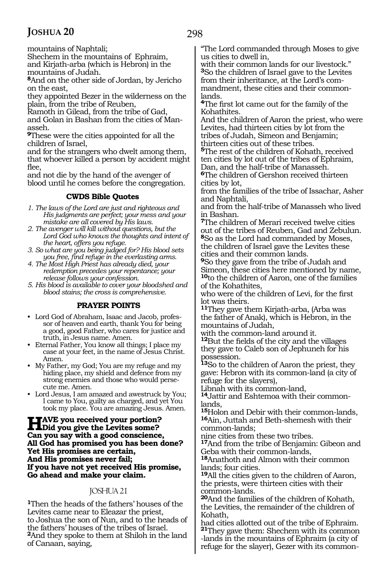mountains of Naphtali;

Shechem in the mountains of Ephraim, and Kirjath-arba (which is Hebron) in the mountains of Judah.

**<sup>8</sup>**And on the other side of Jordan, by Jericho on the east,

they appointed Bezer in the wilderness on the plain, from the tribe of Reuben,

Ramoth in Gilead, from the tribe of Gad, and Golan in Bashan from the cities of Manasseh.

**<sup>9</sup>**These were the cities appointed for all the children of Israel,

and for the strangers who dwelt among them, that whoever killed a person by accident might flee,

and not die by the hand of the avenger of blood until he comes before the congregation.

### **CWDS Bible Quotes**

*1. The laws of the Lord are just and righteous and His judgments are perfect; your mess and your mistake are all covered by His laws.*

*2. The avenger will kill without questions, but the Lord God who knows the thoughts and intent of the heart, offers you refuge.*

*3. So what are you being judged for? His blood sets you free, find refuge in the everlasting arms.*

*4. The Most High Priest has already died, your redemption precedes your repentance; your release follows your confession.*

*5. His blood is available to cover your bloodshed and blood stains; the cross is comprehensive.*

### **PRAYER POINTS**

• Lord God of Abraham, Isaac and Jacob, professor of heaven and earth, thank You for being a good, good Father, who cares for justice and truth, in Jesus name. Amen.

- Eternal Father, You know all things; I place my case at your feet, in the name of Jesus Christ. Amen.
- My Father, my God; You are my refuge and my hiding place, my shield and defence from my strong enemies and those who would persecute me. Amen.
- Lord Jesus, I am amazed and awestruck by You; I came to You, guilty as charged, and yet You took my place. You are amazing Jesus. Amen.

**Have you received your portion? Did you give the Levites some? Can you say with a good conscience, All God has promised you has been done? Yet His promises are certain, And His promises never fail; If you have not yet received His promise, Go ahead and make your claim.**

### JOSHUA 21

**<sup>1</sup>**Then the heads of the fathers' houses of the Levites came near to Eleazar the priest, to Joshua the son of Nun, and to the heads of the fathers' houses of the tribes of Israel. **<sup>2</sup>**And they spoke to them at Shiloh in the land of Canaan, saying,

"The Lord commanded through Moses to give us cities to dwell in,

with their common lands for our livestock." **<sup>3</sup>**So the children of Israel gave to the Levites from their inheritance, at the Lord's commandment, these cities and their commonlands.

**<sup>4</sup>**The first lot came out for the family of the Kohathites.

And the children of Aaron the priest, who were Levites, had thirteen cities by lot from the tribes of Judah, Simeon and Benjamin; thirteen cities out of these tribes.

**<sup>5</sup>**The rest of the children of Kohath, received ten cities by lot out of the tribes of Ephraim, Dan, and the half-tribe of Manasseh.

**<sup>6</sup>**The children of Gershon received thirteen cities by lot,

from the families of the tribe of Issachar, Asher and Naphtali,

and from the half-tribe of Manasseh who lived in Bashan.

**<sup>7</sup>**The children of Merari received twelve cities out of the tribes of Reuben, Gad and Zebulun. **<sup>8</sup>**So as the Lord had commanded by Moses, the children of Israel gave the Levites these cities and their common lands.

**<sup>9</sup>**So they gave from the tribe of Judah and Simeon, these cities here mentioned by name, **<sup>10</sup>**to the children of Aaron, one of the families of the Kohathites,

who were of the children of Levi, for the first lot was theirs.

**<sup>11</sup>**They gave them Kirjath-arba, (Arba was the father of Anak), which is Hebron, in the mountains of Judah,

with the common-land around it.

**<sup>12</sup>**But the fields of the city and the villages they gave to Caleb son of Jephuneh for his possession.

**<sup>13</sup>**So to the children of Aaron the priest, they gave: Hebron with its common-land (a city of refuge for the slayers),

Libnah with its common-land,

**14**Jattir and Eshtemoa with their commonlands,

**<sup>15</sup>**Holon and Debir with their common-lands,

**<sup>16</sup>**Ain, Juttah and Beth-shemesh with their common-lands;

nine cities from these two tribes.

**<sup>17</sup>**And from the tribe of Benjamin: Gibeon and Geba with their common-lands,

**<sup>18</sup>**Anathoth and Almon with their common lands; four cities.

**<sup>19</sup>**All the cities given to the children of Aaron, the priests, were thirteen cities with their common-lands.

**<sup>20</sup>**And the families of the children of Kohath, the Levities, the remainder of the children of Kohath,

had cities allotted out of the tribe of Ephraim. **<sup>21</sup>**They gave them: Shechem with its common -lands in the mountains of Ephraim (a city of refuge for the slayer), Gezer with its common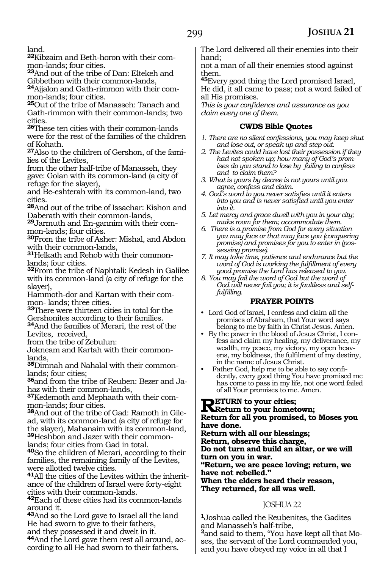land.

**22**Kibzaim and Beth-horon with their common-lands; four cities.

**<sup>23</sup>**And out of the tribe of Dan: Eltekeh and Gibbethon with their common-lands,

**24**Aijalon and Gath-rimmon with their common-lands; four cities.

**<sup>25</sup>**Out of the tribe of Manasseh: Tanach and Gath-rimmon with their common-lands; two cities.

**<sup>26</sup>**These ten cities with their common-lands were for the rest of the families of the children of Kohath.

**27**Also to the children of Gershon, of the families of the Levites,

from the other half-tribe of Manasseh, they gave: Golan with its common-land (a city of refuge for the slayer),

and Be-eshterah with its common-land, two cities.

**<sup>28</sup>**And out of the tribe of Issachar: Kishon and Daberath with their common-lands,

**29**Jarmuth and En-gannim with their common-lands; four cities.

**<sup>30</sup>**From the tribe of Asher: Mishal, and Abdon with their common-lands,

**31**Helkath and Rehob with their commonlands; four cities.

**<sup>32</sup>**From the tribe of Naphtali: Kedesh in Galilee with its common-land (a city of refuge for the slayer),

Hammoth-dor and Kartan with their common- lands; three cities.

**<sup>33</sup>**There were thirteen cities in total for the Gershonites according to their families. **<sup>34</sup>**And the families of Merari, the rest of the Levites, received,

from the tribe of Zebulun:

Jokneam and Kartah with their commonlands,

**35**Dimnah and Nahalal with their commonlands; four cities;

**36**and from the tribe of Reuben: Bezer and Jahaz with their common-lands,

**37**Kedemoth and Mephaath with their common-lands; four cities.

**38**And out of the tribe of Gad: Ramoth in Gilead, with its common-land (a city of refuge for the slayer), Mahanaim with its common-land, **39**Heshbon and Jazer with their commonlands; four cities from Gad in total.

**<sup>40</sup>**So the children of Merari, according to their families, the remaining family of the Levites, were allotted twelve cities.

**41**All the cities of the Levites within the inheritance of the children of Israel were forty-eight cities with their common-lands.

**<sup>42</sup>**Each of these cities had its common-lands around it.

**<sup>43</sup>**And so the Lord gave to Israel all the land He had sworn to give to their fathers, and they possessed it and dwelt in it.

**44**And the Lord gave them rest all around, according to all He had sworn to their fathers.

The Lord delivered all their enemies into their hand;

not a man of all their enemies stood against them.

**<sup>45</sup>**Every good thing the Lord promised Israel, He did, it all came to pass; not a word failed of all His promises.

*This is your confidence and assurance as you claim every one of them.*

### **CWDS Bible Quotes**

- *1. There are no silent confessions, you may keep shut and lose out, or speak up and step out.*
- *2. The Levites could have lost their possession if they had not spoken up; how many of God's promises do you stand to lose by failing to confess and to claim them?*
- *3. What is yours by decree is not yours until you agree, confess and claim.*
- *4. God's word to you never satisfies until it enters into you and is never satisfied until you enter into it.*
- *5. Let mercy and grace dwell with you in your city; make room for them; accommodate them.*
- *6. There is a promise from God for every situation you may face or that may face you (conquering promise) and promises for you to enter in (possessing promise).*
- *7. It may take time, patience and endurance but the word of God is working the fulfillment of every good promise the Lord has released to you.*
- *8. You may fail the word of God but the word of God will never fail you; it is faultless and selffulfilling.*

### **PRAYER POINTS**

- Lord God of Israel, I confess and claim all the promises of Abraham, that Your word says belong to me by faith in Christ Jesus. Amen.
- By the power in the blood of Jesus Christ, I confess and claim my healing, my deliverance, my wealth, my peace, my victory, my open heavens, my boldness, the fulfilment of my destiny, in the name of Jesus Christ.
- Father God, help me to be able to say confidently, every good thing You have promised me has come to pass in my life, not one word failed of all Your promises to me. Amen.

**Return to your cities; Return to your hometown; Return for all you promised, to Moses you have done.**

**Return with all our blessings; Return, observe this charge, Do not turn and build an altar, or we will** 

**turn on you in war. "Return, we are peace loving; return, we have not rebelled." When the elders heard their reason,**

**They returned, for all was well.**

### JOSHUA 22

**<sup>1</sup>**Joshua called the Reubenites, the Gadites and Manasseh's half-tribe,

**2**and said to them, "You have kept all that Moses, the servant of the Lord commanded you, and you have obeyed my voice in all that I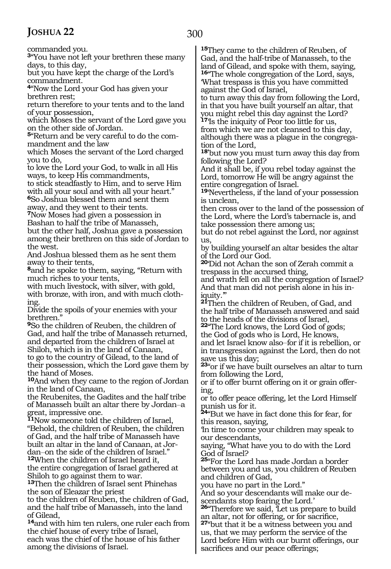300

commanded you.

**<sup>3</sup>**"You have not left your brethren these many days, to this day,

but you have kept the charge of the Lord's commandment.

**<sup>4</sup>**"Now the Lord your God has given your brethren rest;

return therefore to your tents and to the land of your possession,

which Moses the servant of the Lord gave you on the other side of Jordan.

**<sup>5</sup>**"Return and be very careful to do the com- mandment and the law

which Moses the servant of the Lord charged you to do,

to love the Lord your God, to walk in all His ways, to keep His commandments,

to stick steadfastly to Him, and to serve Him with all your soul and with all your heart." **<sup>6</sup>**So Joshua blessed them and sent them

away, and they went to their tents.

**<sup>7</sup>**Now Moses had given a possession in Bashan to half the tribe of Manasseh, but the other half, Joshua gave a possession among their brethren on this side of Jordan to the west.

And Joshua blessed them as he sent them away to their tents,

**<sup>8</sup>**and he spoke to them, saying, "Return with much riches to your tents,

with much livestock, with silver, with gold, with bronze, with iron, and with much clothing.

Divide the spoils of your enemies with your brethren."

**<sup>9</sup>**So the children of Reuben, the children of Gad, and half the tribe of Manasseh returned, and departed from the children of Israel at Shiloh, which is in the land of Canaan, to go to the country of Gilead, to the land of

their possession, which the Lord gave them by the hand of Moses.

**<sup>10</sup>**And when they came to the region of Jordan in the land of Canaan,

the Reubenites, the Gadites and the half tribe of Manasseh built an altar there by Jordan\_\_a great, impressive one.

**<sup>11</sup>**Now someone told the children of Israel, "Behold, the children of Reuben, the children of Gad, and the half tribe of Manasseh have built an altar in the land of Canaan, at Jordan-on the side of the children of Israel."

**<sup>12</sup>**When the children of Israel heard it, the entire congregation of Israel gathered at Shiloh to go against them to war.

**<sup>13</sup>**Then the children of Israel sent Phinehas the son of Eleazar the priest

to the children of Reuben, the children of Gad, and the half tribe of Manasseh, into the land of Gilead,

**<sup>14</sup>**and with him ten rulers, one ruler each from the chief house of every tribe of Israel, each was the chief of the house of his father among the divisions of Israel.

**<sup>15</sup>**They came to the children of Reuben, of Gad, and the half-tribe of Manasseh, to the land of Gilead, and spoke with them, saying, **<sup>16</sup>**"The whole congregation of the Lord, says, 'What trespass is this you have committed against the God of Israel,

to turn away this day from following the Lord, in that you have built yourself an altar, that you might rebel this day against the Lord? **<sup>17</sup>**'Is the iniquity of Peor too little for us, from which we are not cleansed to this day, although there was a plague in the congrega- tion of the Lord,

**18'**but now you must turn away this day from following the Lord?

And it shall be, if you rebel today against the Lord, tomorrow He will be angry against the entire congregation of Israel.

**<sup>19</sup>**'Nevertheless, if the land of your possession is unclean,

then cross over to the land of the possession of the Lord, where the Lord's tabernacle is, and take possession there among us;

but do not rebel against the Lord, nor against us,

by building yourself an altar besides the altar of the Lord our God.

**<sup>20</sup>**'Did not Achan the son of Zerah commit a trespass in the accursed thing,

and wrath fell on all the congregation of Israel? And that man did not perish alone in his in- iquity.'"

**<sup>21</sup>**Then the children of Reuben, of Gad, and the half tribe of Manasseh answered and said to the heads of the divisions of Israel,

**<sup>22</sup>**"The Lord knows, the Lord God of gods; the God of gods who is Lord, He knows,

and let Israel know also-for if it is rebellion, or in transgression against the Lord, then do not save us this day;

**<sup>23</sup>**"or if we have built ourselves an altar to turn from following the Lord,

or if to offer burnt offering on it or grain offering,

or to offer peace offering, let the Lord Himself punish us for it.

**<sup>24</sup>**"But we have in fact done this for fear, for this reason, saying,

'In time to come your children may speak to our descendants,

saying, "What have you to do with the Lord God of Israel?

**<sup>25</sup>**"For the Lord has made Jordan a border between you and us, you children of Reuben and children of Gad,

you have no part in the Lord."

And so your descendants will make our descendants stop fearing the Lord.'

**<sup>26</sup>**"Therefore we said, 'Let us prepare to build an altar, not for offering, or for sacrifice,

**<sup>27</sup>**"but that it be a witness between you and us, that we may perform the service of the Lord before Him with our burnt offerings, our sacrifices and our peace offerings;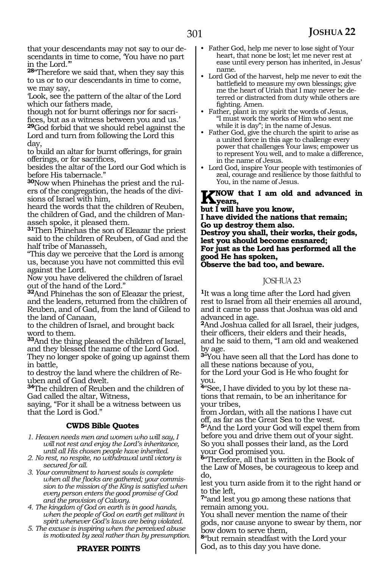that your descendants may not say to our descendants in time to come, 'You have no part in the Lord.'

**<sup>28</sup>**"Therefore we said that, when they say this to us or to our descendants in time to come, we may say,

'Look, see the pattern of the altar of the Lord which our fathers made,

though not for burnt offerings nor for sacrifices, but as a witness between you and us.' **<sup>29</sup>**God forbid that we should rebel against the Lord and turn from following the Lord this

day, to build an altar for burnt offerings, for grain offerings, or for sacrifices,

besides the altar of the Lord our God which is before His tabernacle."

**30**Now when Phinehas the priest and the rulers of the congregation, the heads of the divisions of Israel with him,

heard the words that the children of Reuben, the children of Gad, and the children of Manasseh spoke, it pleased them.

**<sup>31</sup>**Then Phinehas the son of Eleazar the priest said to the children of Reuben, of Gad and the half tribe of Manasseh,

"This day we perceive that the Lord is among us, because you have not committed this evil against the Lord.

Now you have delivered the children of Israel out of the hand of the Lord."

**<sup>32</sup>**And Phinehas the son of Eleazar the priest, and the leaders, returned from the children of Reuben, and of Gad, from the land of Gilead to the land of Canaan,

to the children of Israel, and brought back word to them.

**<sup>33</sup>**And the thing pleased the children of Israel, and they blessed the name of the Lord God.

They no longer spoke of going up against them in battle,

to destroy the land where the children of Reuben and of Gad dwelt.

**<sup>34</sup>**The children of Reuben and the children of Gad called the altar, Witness,

saying, "For it shall be a witness between us that the Lord is God."

### **CWDS Bible Quotes**

*1. Heaven needs men and women who will say, I will not rest and enjoy the Lord's inheritance, until all His chosen people have inherited.*

*2. No rest, no respite, no withdrawal until victory is secured for all.*

*3. Your commitment to harvest souls is complete when all the flocks are gathered; your commission to the mission of the King is satisfied when every person enters the good promise of God and the provision of Calvary.*

*4. The kingdom of God on earth is in good hands, when the people of God on earth get militant in spirit whenever God's laws are being violated.*

*5. The excuse is inspiring when the perceived abuse is motivated by zeal rather than by presumption.*

### **PRAYER POINTS**

- Father God, help me never to lose sight of Your heart, that none be lost; let me never rest at ease until every person has inherited, in Jesus' name.
- Lord God of the harvest, help me never to exit the battlefield to measure my own blessings; give me the heart of Uriah that I may never be deterred or distracted from duty while others are fighting. Amen.
- Father, plant in my spirit the words of Jesus, "I must work the works of Him who sent me while it is day"; in the name of Jesus.
- Father God, give the church the spirit to arise as a united force in this age to challenge every power that challenges Your laws; empower us to represent You well, and to make a difference, in the name of Jesus.
- Lord God, inspire Your people with testimonies of zeal, courage and resilience by those faithful to You, in the name of Jesus.

### **K**NOW that I am old and advanced in **years,**

**but I will have you know,**

**I have divided the nations that remain; Go up destroy them also.**

**Destroy you shall, their works, their gods, lest you should become ensnared; For just as the Lord has performed all the good He has spoken,**

**Observe the bad too, and beware.**

### JOSHUA 23

**<sup>1</sup>**It was a long time after the Lord had given rest to Israel from all their enemies all around, and it came to pass that Joshua was old and advanced in age.

**<sup>2</sup>**And Joshua called for all Israel, their judges, their officers, their elders and their heads, and he said to them, "I am old and weakened by age.

**<sup>3</sup>**"You have seen all that the Lord has done to all these nations because of you,

for the Lord your God is He who fought for you.

**4**"See, I have divided to you by lot these nations that remain, to be an inheritance for your tribes,

from Jordan, with all the nations I have cut off, as far as the Great Sea to the west. **<sup>5</sup>**"And the Lord your God will expel them from before you and drive them out of your sight. So you shall posses their land, as the Lord your God promised you.

**<sup>6</sup>**"Therefore, all that is written in the Book of the Law of Moses, be courageous to keep and do,

lest you turn aside from it to the right hand or to the left,

**<sup>7</sup>**"and lest you go among these nations that remain among you.

You shall never mention the name of their gods, nor cause anyone to swear by them, nor bow down to serve them,

**<sup>8</sup>**"but remain steadfast with the Lord your God, as to this day you have done.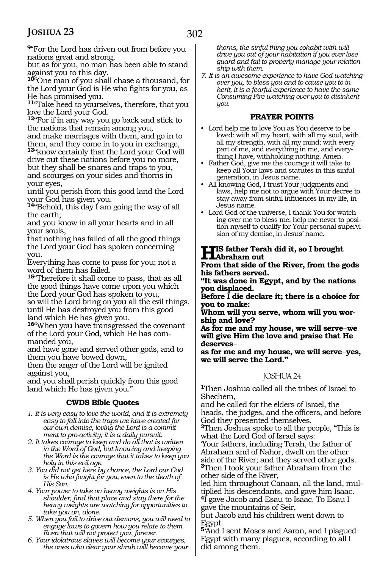**<sup>9</sup>**"For the Lord has driven out from before you nations great and strong,

but as for you, no man has been able to stand against you to this day.

**<sup>10</sup>**"One man of you shall chase a thousand, for the Lord your God is He who fights for you, as He has promised you.

**<sup>11</sup>**"Take heed to yourselves, therefore, that you love the Lord your God.

**<sup>12</sup>**"For if in any way you go back and stick to the nations that remain among you,

and make marriages with them, and go in to them, and they come in to you in exchange,

**<sup>13</sup>**"know certainly that the Lord your God will drive out these nations before you no more, but they shall be snares and traps to you, and scourges on your sides and thorns in your eyes,

until you perish from this good land the Lord your God has given you.

**<sup>14</sup>**"Behold, this day I am going the way of all the earth;

and you know in all your hearts and in all your souls,

that nothing has failed of all the good things the Lord your God has spoken concerning you.

Everything has come to pass for you; not a word of them has failed.

**<sup>15</sup>**"Therefore it shall come to pass, that as all the good things have come upon you which the Lord your God has spoken to you, so will the Lord bring on you all the evil things, until He has destroyed you from this good land which He has given you.

**<sup>16</sup>**"When you have transgressed the covenant of the Lord your God, which He has commanded you,

and have gone and served other gods, and to them you have bowed down,

then the anger of the Lord will be ignited against you,

and you shall perish quickly from this good land which He has given you."

### **CWDS Bible Quotes**

- *1. It is very easy to love the world, and it is extremely easy to fall into the traps we have created for our own demise, loving the Lord is a commitment to pro-activity; it is a daily pursuit.*
- *2. It takes courage to keep and do all that is written in the Word of God, but knowing and keeping the Word is the courage that it takes to keep you holy in this evil age.*
- *3. You did not get here by chance, the Lord our God is He who fought for you, even to the death of His Son.*
- *4. Your power to take on heavy weights is on His shoulder, find that place and stay there for the heavy weights are watching for opportunities to take you on, alone.*
- *5. When you fail to drive out demons, you will need to engage laws to govern how you relate to them. Even that will not protect you, forever.*
- *6. Your idolatrous slaves will become your scourges, the ones who clear your shrub will become your*

*thorns, the sinful thing you cohabit with will drive you out of your habitation if you ever lose guard and fail to properly manage your relationship with them.*

*7. It is an awesome experience to have God watching over you, to bless you and to cause you to inherit, it is a fearful experience to have the same Consuming Fire watching over you to disinherit you.*

### **PRAYER POINTS**

- Lord help me to love You as You deserve to be loved: with all my heart, with all my soul, with all my strength, with all my mind; with every part of me, and everything in me, and everything I have, withholding nothing. Amen.
- Father God, give me the courage it will take to keep all Your laws and statutes in this sinful generation, in Jesus name.
- All knowing God, I trust Your judgments and laws, help me not to argue with Your decree to stay away from sinful influences in my life, in Jesus name.
- Lord God of the universe, I thank You for watching over me to bless me; help me never to position myself to qualify for Your personal supervision of my demise, in Jesus' name.

# **His father Terah did it, so I brought Abraham out**

**From that side of the River, from the gods his fathers served.**

**"It was done in Egypt, and by the nations you displaced.**

**Before I die declare it; there is a choice for you to make:**

**Whom will you serve, whom will you worship and love?**

As for me and my house, we will serve we **will give Him the love and praise that He deserves\_\_**

as for me and my house, we will serve-yes, **we will serve the Lord."**

### JOSHUA 24

**<sup>1</sup>**Then Joshua called all the tribes of Israel to Shechem,

and he called for the elders of Israel, the heads, the judges, and the officers, and before God they presented themselves.

**<sup>2</sup>**Then Joshua spoke to all the people, "This is what the Lord God of Israel says:

'Your fathers, including Terah, the father of Abraham and of Nahor, dwelt on the other side of the River; and they served other gods. **<sup>3</sup>**Then I took your father Abraham from the other side of the River,

led him throughout Canaan, all the land, multiplied his descendants, and gave him Isaac. **<sup>4</sup>**I gave Jacob and Esau to Isaac. To Esau I gave the mountains of Seir,

but Jacob and his children went down to Egypt.

**<sup>5</sup>**'And I sent Moses and Aaron, and I plagued Egypt with many plagues, according to all I did among them.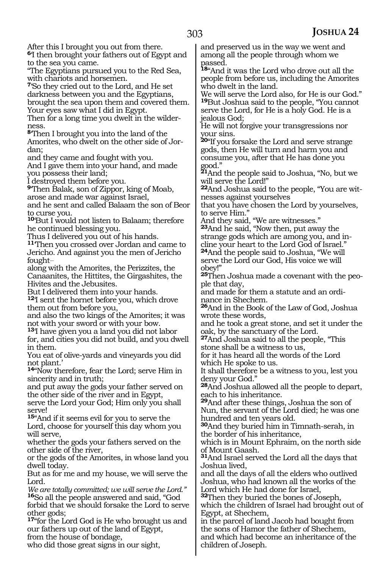After this I brought you out from there.

**<sup>6</sup>**'I then brought your fathers out of Egypt and to the sea you came.

"The Egyptians pursued you to the Red Sea, with chariots and horsemen.

**<sup>7</sup>**'So they cried out to the Lord, and He set darkness between you and the Egyptians, brought the sea upon them and covered them.

Your eyes saw what I did in Egypt. Then for a long time you dwelt in the wilderness.

**<sup>8</sup>**'Then I brought you into the land of the Amorites, who dwelt on the other side of Jor- dan;

and they came and fought with you.

And I gave them into your hand, and made you possess their land;

I destroyed them before you.

**<sup>9</sup>**'Then Balak, son of Zippor, king of Moab, arose and made war against Israel,

and he sent and called Balaam the son of Beor to curse you.

**<sup>10</sup>**'But I would not listen to Balaam; therefore he continued blessing you.

Thus I delivered you out of his hands.

**<sup>11</sup>**'Then you crossed over Jordan and came to Jericho. And against you the men of Jericho fought-

along with the Amorites, the Perizzites, the Canaanites, the Hittites, the Girgashites, the Hivites and the Jebusites.

But I delivered them into your hands. **<sup>12</sup>**'I sent the hornet before you, which drove

them out from before you,

and also the two kings of the Amorites; it was not with your sword or with your bow.

**<sup>13</sup>**'I have given you a land you did not labor for, and cities you did not build, and you dwell in them.

You eat of olive-yards and vineyards you did not plant.'

**<sup>14</sup>**"Now therefore, fear the Lord; serve Him in sincerity and in truth;

and put away the gods your father served on the other side of the river and in Egypt,

serve the Lord your God; Him only you shall serve!

**<sup>15</sup>**"And if it seems evil for you to serve the Lord, choose for yourself this day whom you will serve,

whether the gods your fathers served on the other side of the river,

or the gods of the Amorites, in whose land you dwell today.

But as for me and my house, we will serve the Lord.

*We are totally committed; we will serve the Lord."* **<sup>16</sup>**So all the people answered and said, "God forbid that we should forsake the Lord to serve other gods;

**<sup>17</sup>**"for the Lord God is He who brought us and our fathers up out of the land of Egypt, from the house of bondage,

who did those great signs in our sight,

and preserved us in the way we went and among all the people through whom we passed.

**<sup>18</sup>**"And it was the Lord who drove out all the people from before us, including the Amorites who dwelt in the land.

We will serve the Lord also, for He is our God." **<sup>19</sup>**But Joshua said to the people, "You cannot serve the Lord, for He is a holy God. He is a jealous God;

He will not forgive your transgressions nor your sins.

**<sup>20</sup>**"If you forsake the Lord and serve strange gods, then He will turn and harm you and consume you, after that He has done you good."

**<sup>21</sup>**And the people said to Joshua, "No, but we will serve the Lord!"

**22**And Joshua said to the people, "You are witnesses against yourselves

that you have chosen the Lord by yourselves, to serve Him.'

And they said, "We are witnesses."

**<sup>23</sup>**And he said, "Now then, put away the strange gods which are among you, and incline your heart to the Lord God of Israel." **<sup>24</sup>**And the people said to Joshua, "We will serve the Lord our God, His voice we will obey!"

**25**Then Joshua made a covenant with the people that day,

and made for them a statute and an ordinance in Shechem.

**<sup>26</sup>**And in the Book of the Law of God, Joshua wrote these words,

and he took a great stone, and set it under the oak, by the sanctuary of the Lord.

**<sup>27</sup>**And Joshua said to all the people, "This stone shall be a witness to us,

for it has heard all the words of the Lord which He spoke to us.

It shall therefore be a witness to you, lest you deny your God."

**<sup>28</sup>**And Joshua allowed all the people to depart, each to his inheritance.

**<sup>29</sup>**And after these things, Joshua the son of Nun, the servant of the Lord died; he was one hundred and ten years old.

**<sup>30</sup>**And they buried him in Timnath-serah, in the border of his inheritance,

which is in Mount Ephraim, on the north side of Mount Gaash.

**<sup>31</sup>**And Israel served the Lord all the days that Joshua lived,

and all the days of all the elders who outlived Joshua, who had known all the works of the Lord which He had done for Israel,

**<sup>32</sup>**Then they buried the bones of Joseph, which the children of Israel had brought out of Egypt, at Shechem,

in the parcel of land Jacob had bought from the sons of Hamor the father of Shechem, and which had become an inheritance of the children of Joseph.